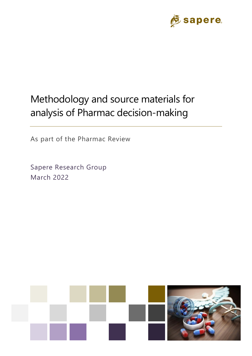

# Methodology and source materials for analysis of Pharmac decision-making

As part of the Pharmac Review

Sapere Research Group March 2022

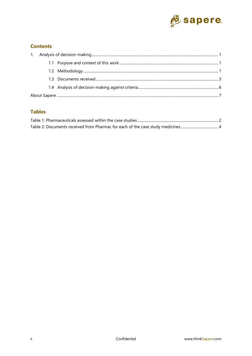

## **Contents**

### **Tables**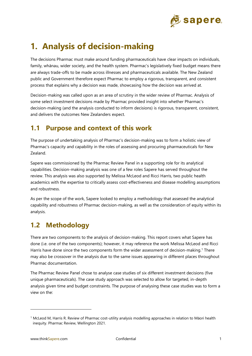

# <span id="page-2-0"></span>**1. Analysis of decision-making**

The decisions Pharmac must make around funding pharmaceuticals have clear impacts on individuals, family, whānau, wider society, and the health system. Pharmac's legislatively fixed budget means there are always trade-offs to be made across illnesses and pharmaceuticals available. The New Zealand public and Government therefore expect Pharmac to employ a rigorous, transparent, and consistent process that explains why a decision was made, showcasing how the decision was arrived at.

Decision-making was called upon as an area of scrutiny in the wider review of Pharmac. Analysis of some select investment decisions made by Pharmac provided insight into whether Pharmac's decision-making (and the analysis conducted to inform decisions) is rigorous, transparent, consistent, and delivers the outcomes New Zealanders expect.

# <span id="page-2-1"></span>**1.1 Purpose and context of this work**

The purpose of undertaking analysis of Pharmac's decision-making was to form a holistic view of Pharmac's capacity and capability in the roles of assessing and procuring pharmaceuticals for New Zealand.

Sapere was commissioned by the Pharmac Review Panel in a supporting role for its analytical capabilities. Decision-making analysis was one of a few roles Sapere has served throughout the review. This analysis was also supported by Melissa McLeod and Ricci Harris, two public health academics with the expertise to critically assess cost-effectiveness and disease modelling assumptions and robustness.

As per the scope of the work, Sapere looked to employ a methodology that assessed the analytical capability and robustness of Pharmac decision-making, as well as the consideration of equity within its analysis.

# <span id="page-2-2"></span>**1.2 Methodology**

There are two components to the analysis of decision-making. This report covers what Sapere has done (i.e. one of the two components); however, it may reference the work Melissa McLeod and Ricci Harris have done since the two components form the wider assessment of decision-making. <sup>1</sup> There may also be crossover in the analysis due to the same issues appearing in different places throughout Pharmac documentation.

The Pharmac Review Panel chose to analyse case studies of six different investment decisions (five unique pharmaceuticals). The case study approach was selected to allow for targeted, in-depth analysis given time and budget constraints. The purpose of analysing these case studies was to form a view on the:

<sup>1</sup> McLeod M, Harris R. Review of Pharmac cost-utility analysis modelling approaches in relation to Māori health inequity. Pharmac Review, Wellington 2021.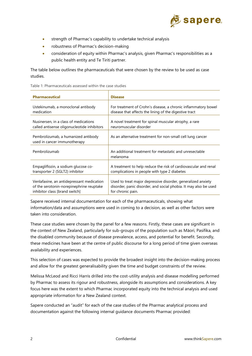

- strength of Pharmac's capability to undertake technical analysis
- robustness of Pharmac's decision-making
- consideration of equity within Pharmac's analysis, given Pharmac's responsibilities as a public health entity and Te Tiriti partner.

The table below outlines the pharmaceuticals that were chosen by the review to be used as case studies.

<span id="page-3-0"></span>

| <b>Pharmaceutical</b>                                               | <b>Disease</b>                                                      |
|---------------------------------------------------------------------|---------------------------------------------------------------------|
| Ustekinumab, a monoclonal antibody                                  | For treatment of Crohn's disease, a chronic inflammatory bowel      |
| medication                                                          | disease that affects the lining of the digestive tract              |
| Nusinersen, in a class of medications                               | A novel treatment for spinal muscular atrophy, a rare               |
| called antisense oligonucleotide inhibitors                         | neuromuscular disorder                                              |
| Pembrolizumab, a humanized antibody<br>used in cancer immunotherapy | As an alternative treatment for non-small cell lung cancer          |
| Pembrolizumab                                                       | An additional treatment for metastatic and unresectable<br>melanoma |
| Empagliflozin, a sodium glucose co-                                 | A treatment to help reduce the risk of cardiovascular and renal     |
| transporter 2 (SGLT2) inhibitor                                     | complications in people with type 2 diabetes                        |
| Venlafaxine, an antidepressant medication                           | Used to treat major depressive disorder, generalized anxiety        |
| of the serotonin-norepinephrine reuptake                            | disorder, panic disorder, and social phobia. It may also be used    |
| inhibitor class [brand switch]                                      | for chronic pain.                                                   |

Sapere received internal documentation for each of the pharmaceuticals, showing what information/data and assumptions were used in coming to a decision, as well as other factors were taken into consideration.

These case studies were chosen by the panel for a few reasons. Firstly, these cases are significant in the context of New Zealand, particularly for sub-groups of the population such as Māori, Pasifika, and the disabled community because of disease prevalence, access, and potential for benefit. Secondly, these medicines have been at the centre of public discourse for a long period of time given overseas availability and experiences.

This selection of cases was expected to provide the broadest insight into the decision-making process and allow for the greatest generalisability given the time and budget constraints of the review.

Melissa McLeod and Ricci Harris drilled into the cost-utility analysis and disease modelling performed by Pharmac to assess its rigour and robustness, alongside its assumptions and considerations. A key focus here was the extent to which Pharmac incorporated equity into the technical analysis and used appropriate information for a New Zealand context.

Sapere conducted an "audit" for each of the case studies of the Pharmac analytical process and documentation against the following internal guidance documents Pharmac provided: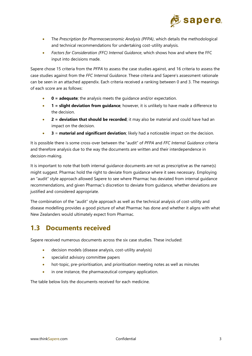

- The *Prescription for Pharmacoeconomic Analysis (PFPA)*, which details the methodological and technical recommendations for undertaking cost-utility analysis.
- *Factors for Consideration (FFC) Internal Guidance*, which shows how and where the FFC input into decisions made.

Sapere chose 15 criteria from the *PFPA* to assess the case studies against, and 16 criteria to assess the case studies against from the *FFC Internal Guidance*. These criteria and Sapere's assessment rationale can be seen in an attached appendix. Each criteria received a ranking between 0 and 3. The meanings of each score are as follows:

- **0 = adequate**; the analysis meets the guidance and/or expectation.
- **1 = slight deviation from guidance**; however, it is unlikely to have made a difference to the decision.
- **2 = deviation that should be recorded**; it may also be material and could have had an impact on the decision.
- **3** = **material and significant deviation**; likely had a noticeable impact on the decision.

It is possible there is some cross-over between the "audit" of *PFPA* and *FFC Internal Guidance* criteria and therefore analysis due to the way the documents are written and their interdependence in decision-making.

It is important to note that both internal guidance documents are not as prescriptive as the name(s) might suggest. Pharmac hold the right to deviate from guidance where it sees necessary. Employing an "audit" style approach allowed Sapere to see where Pharmac has deviated from internal guidance recommendations, and given Pharmac's discretion to deviate from guidance, whether deviations are justified and considered appropriate.

The combination of the "audit" style approach as well as the technical analysis of cost-utility and disease modelling provides a good picture of what Pharmac has done and whether it aligns with what New Zealanders would ultimately expect from Pharmac.

# <span id="page-4-0"></span>**1.3 Documents received**

Sapere received numerous documents across the six case studies. These included:

- decision models (disease analysis, cost-utility analysis)
- specialist advisory committee papers
- hot-topic, pre-prioritisation, and prioritisation meeting notes as well as minutes
- in one instance, the pharmaceutical company application.

The table below lists the documents received for each medicine.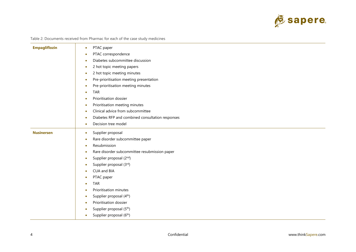

| Table 2: Documents received from Pharmac for each of the case study medicines |  |
|-------------------------------------------------------------------------------|--|
|-------------------------------------------------------------------------------|--|

<span id="page-5-0"></span>

| <b>Empagliflozin</b> | PTAC paper<br>$\bullet$                               |  |  |  |
|----------------------|-------------------------------------------------------|--|--|--|
|                      | PTAC correspondence<br>$\bullet$                      |  |  |  |
|                      | Diabetes subcommittee discussion                      |  |  |  |
|                      | 2 hot topic meeting papers<br>٠                       |  |  |  |
|                      | 2 hot topic meeting minutes<br>$\bullet$              |  |  |  |
|                      | Pre-prioritisation meeting presentation<br>٠          |  |  |  |
|                      | Pre-prioritisation meeting minutes<br>۰               |  |  |  |
|                      | <b>TAR</b><br>$\bullet$                               |  |  |  |
|                      | Prioritisation dossier<br>٠                           |  |  |  |
|                      | Prioritisation meeting minutes<br>٠                   |  |  |  |
|                      | Clinical advice from subcommittee<br>$\bullet$        |  |  |  |
|                      | Diabetes RFP and combined consultation responses<br>٠ |  |  |  |
|                      | Decision tree model<br>$\bullet$                      |  |  |  |
| <b>Nusinersen</b>    | Supplier proposal<br>$\bullet$                        |  |  |  |
|                      | Rare disorder subcommittee paper                      |  |  |  |
|                      | Resubmission<br>$\bullet$                             |  |  |  |
|                      | Rare disorder subcommittee resubmission paper<br>٠    |  |  |  |
|                      | Supplier proposal (2nd)<br>٠                          |  |  |  |
|                      | Supplier proposal (3rd)<br>۰                          |  |  |  |
|                      | CUA and BIA                                           |  |  |  |
|                      | PTAC paper                                            |  |  |  |
|                      | <b>TAR</b><br>٠                                       |  |  |  |
|                      | Prioritisation minutes                                |  |  |  |
|                      | Supplier proposal (4 <sup>th</sup> )<br>$\bullet$     |  |  |  |
|                      | Prioritisation dossier<br>٠                           |  |  |  |
|                      | Supplier proposal (5 <sup>th</sup> )                  |  |  |  |
|                      | Supplier proposal (6 <sup>th</sup> )                  |  |  |  |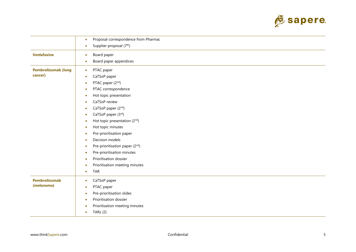

|                                       | Proposal correspondence from Pharmac<br>۰                                                                                                                                                                                                                                                                                                                                                                                                                                                                                            |
|---------------------------------------|--------------------------------------------------------------------------------------------------------------------------------------------------------------------------------------------------------------------------------------------------------------------------------------------------------------------------------------------------------------------------------------------------------------------------------------------------------------------------------------------------------------------------------------|
|                                       | Supplier proposal (7 <sup>th</sup> )<br>$\bullet$                                                                                                                                                                                                                                                                                                                                                                                                                                                                                    |
| <b>Venlafaxine</b>                    | Board paper<br>۰<br>Board paper appendices<br>$\bullet$                                                                                                                                                                                                                                                                                                                                                                                                                                                                              |
| <b>Pembrolizumab (lung</b><br>cancer) | PTAC paper<br>$\bullet$<br>CaTSoP paper<br>$\bullet$<br>PTAC paper (2nd)<br>$\bullet$<br>PTAC correspondence<br>$\bullet$<br>Hot topic presentation<br>$\bullet$<br>CaTSoP review<br>CaTSoP paper (2nd)<br>CaTSoP paper (3rd)<br>$\bullet$<br>Hot topic presentation (2nd)<br>Hot topic minutes<br>$\bullet$<br>Pre-prioritisation paper<br>Decision models<br>٠<br>Pre-prioritisation paper (2nd)<br>$\bullet$<br>Pre-prioritisation minutes<br>Prioritisation dossier<br>Prioritisation meeting minutes<br><b>TAR</b><br>$\bullet$ |
| <b>Pembrolizumab</b><br>(melanoma)    | CaTSoP paper<br>$\bullet$<br>PTAC paper<br>$\bullet$<br>Pre-prioritisation slides<br>Prioritisation dossier<br>$\bullet$<br>Prioritisation meeting minutes<br>TARs $(2)$<br>$\bullet$                                                                                                                                                                                                                                                                                                                                                |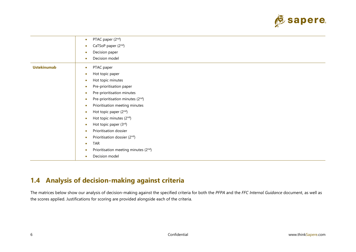

|                    | PTAC paper (2 <sup>nd</sup> )<br>$\bullet$    |
|--------------------|-----------------------------------------------|
|                    | CaTSoP paper (2nd)                            |
|                    | Decision paper                                |
|                    | Decision model                                |
| <b>Ustekinumab</b> | PTAC paper<br>۰                               |
|                    | Hot topic paper                               |
|                    | Hot topic minutes                             |
|                    | Pre-prioritisation paper<br>$\bullet$         |
|                    | Pre-prioritisation minutes<br>$\bullet$       |
|                    | Pre-prioritisation minutes (2nd)<br>$\bullet$ |
|                    | Prioritisation meeting minutes<br>$\bullet$   |
|                    | Hot topic paper (2nd)<br>۰                    |
|                    | Hot topic minutes (2nd)                       |
|                    | Hot topic paper (3rd)                         |
|                    | Prioritisation dossier                        |
|                    | Prioritisation dossier (2nd)<br>$\bullet$     |
|                    | <b>TAR</b><br>٠                               |
|                    | Prioritisation meeting minutes (2nd)          |
|                    | Decision model                                |

# **1.4 Analysis of decision-making against criteria**

<span id="page-7-0"></span>The matrices below show our analysis of decision-making against the specified criteria for both the *PFPA* and the *FFC Internal Guidance* document, as well as the scores applied. Justifications for scoring are provided alongside each of the criteria.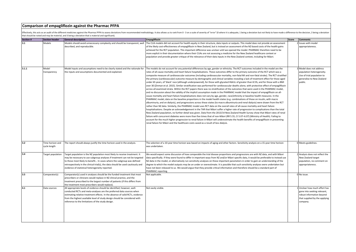#### **Comparison of empagliflozin against the Pharmac PFPA**

Effectively, this acts as an audit of the different medicines against the Pharmac PFPA to assess deviations from recommended methodology. It also allows us to rank from 0-3 on a scale of severity of "error" (0 where it is that should be noted and may be material, and 3 being a deviation that is material and significant).

| <b>Section#</b> | <b>Section header</b>            | <b>General description</b>                                                                                                                                                                                                                                                                                                                                                  | <b>Empagliflozin</b>                                                                                                                                                                                                                                                                                                                                                                                                                                                                                                                                                                                                                                                                                                                                                                                                                                                                                                                                                                                                                                                                                                                                                                                                                                                                                                                                                                                                                                                                                                                                                                                                                                                                                                                                                                                                                                                                                                                                                                                                                                                                                                                                                                                                                                                                                                                                 | Score | <b>Comments</b>                                                                                                                      |
|-----------------|----------------------------------|-----------------------------------------------------------------------------------------------------------------------------------------------------------------------------------------------------------------------------------------------------------------------------------------------------------------------------------------------------------------------------|------------------------------------------------------------------------------------------------------------------------------------------------------------------------------------------------------------------------------------------------------------------------------------------------------------------------------------------------------------------------------------------------------------------------------------------------------------------------------------------------------------------------------------------------------------------------------------------------------------------------------------------------------------------------------------------------------------------------------------------------------------------------------------------------------------------------------------------------------------------------------------------------------------------------------------------------------------------------------------------------------------------------------------------------------------------------------------------------------------------------------------------------------------------------------------------------------------------------------------------------------------------------------------------------------------------------------------------------------------------------------------------------------------------------------------------------------------------------------------------------------------------------------------------------------------------------------------------------------------------------------------------------------------------------------------------------------------------------------------------------------------------------------------------------------------------------------------------------------------------------------------------------------------------------------------------------------------------------------------------------------------------------------------------------------------------------------------------------------------------------------------------------------------------------------------------------------------------------------------------------------------------------------------------------------------------------------------------------------|-------|--------------------------------------------------------------------------------------------------------------------------------------|
| 3.1             | Models                           | Models should avoid unnecessary complexity and should be transparent, well<br>described, and reproducible.                                                                                                                                                                                                                                                                  | The CUA models did not account for health equity in their structure, data inputs or outputs. This model does not provide an assessment<br>of the likely cost-effectiveness of empagliflozin in New Zealand, but is instead an assessment of the NZ-based costs of the health gains<br>achieved for the RCT population. This important difference was unclear until we opened the model. PHARMAC therefore need to be<br>more explicit in their documentation where their CUAs are not assessing a medicine for the New Zealand healthcare context or<br>population and provide greater critique of the relevance of their data inputs in the New Zealand context, including for Māori.                                                                                                                                                                                                                                                                                                                                                                                                                                                                                                                                                                                                                                                                                                                                                                                                                                                                                                                                                                                                                                                                                                                                                                                                                                                                                                                                                                                                                                                                                                                                                                                                                                                               |       | 2 Issues with model<br>appropriateness.                                                                                              |
| 3.1.1           | Model<br>transparency            | Model inputs and assumptions need to be clearly stated and the rationale for<br>the inputs and assumptions documented and explained.                                                                                                                                                                                                                                        | The models do not account for any potential differences by age, gender or ethnicity. The RCT outcomes included in the model are the<br>rates of all-cause mortality and heart failure hospitalisations. These outcomes differ to the primary outcome of the RCT which was a<br>composite measure of cardiovascular outcomes (including cardiovascular mortality, non-fatal MI and non-fatal stroke). The RCT stratified<br>the primary (cardiovascular) outcome measure by demographic and clinical variables revealing a lack of treatment effect for those aged<br>under 65 years, of 'black' race (although underpowered), for those with glycated HbA1c of greater than 8.5%, and for those with a BMI<br>over 30 (Zinman et al. 2015). Similar stratification was performed for cardiovascular deaths alone, with protective effect of empagliflozin<br>across all examined strata. Within the RCT papers there was no stratification of the outcomes that were used in the PHARMAC model,<br>and no discussion about the validity of the implicit assumption made in the PHARMAC model that the impact of empagliflozin on all-<br>cause mortality and heart failure hospitalisations does not vary by age, gender, race/ethnicity or baseline health measures. In the<br>PHARMAC model, data on the baseline proportions in the model health states (e.g. combinations of those on insulin, with macro<br>albuminuria, and on dialysis), and progressions across these states (to macro albuminuria and renal dialysis) were drawn from the RCT<br>rather than NZ data. Similarly, the PHARMAC model uses RCT data on the overall rates of all-cause mortality and heart failure<br>hospitalisations. Despite an acknowledgement in the TAR that Māori suffer a higher rate of progression to complications than the total<br>New Zealand population, no further detail was given. Data from the 2013/14 New Zealand Health Survey show that Māori rates of renal<br>failure with concurrent diabetes were more than five times that of non-Māori (RR 5.55, CI 5.07-6.07) (Ministry of Health). Failing to<br>account for the much higher progression to renal failure in Māori will underestimate the health benefits of empagliflozin in preventing<br>renal failure for Māori and the healthcare costs saved as a result of less dialysis. |       | 3 Model does not address<br>population heterogeneity.<br>Use of trial population to<br>generalise to New Zealand<br>public.          |
| 3.2             | Time horizon and<br>cycle length | The report should always justify the time horizon used in the analysis.                                                                                                                                                                                                                                                                                                     | The selection of a 10-year time horizon was based on impacts of aging and other factors. Sensitivity analysis on a 15-year time horizon<br>was undertaken.                                                                                                                                                                                                                                                                                                                                                                                                                                                                                                                                                                                                                                                                                                                                                                                                                                                                                                                                                                                                                                                                                                                                                                                                                                                                                                                                                                                                                                                                                                                                                                                                                                                                                                                                                                                                                                                                                                                                                                                                                                                                                                                                                                                           |       | 0 Meets guidelines.                                                                                                                  |
| 3.4             | Target population                | Target population is the NZ population most likely to receive treatment. It<br>may be necessary to use subgroup analyses if treatment can not be targeted<br>to those most likely to benefit In cases where the subgroup was defined<br>retrospectively in the clinical trial(s), the data should be used cautiously and<br>evidence of statistical heterogeneity reported. | We would expect some discussion of how comparable the trial disease proportions and progressions are with NZ data, and with Māori<br>data specifically. If they were found to differ in important ways from NZ and/or Māori specific data, it would be preferable to instead use<br>NZ data in the model, or alternatively run sensitivity analyses on these important parameters in order to gain an understanding of the<br>degree to which the model outputs may be an under or overestimate. It is possible that such sensitivity analyses were undertaken but<br>have not been released to us. We would argue that they provide critical information and therefore should be a standard part of<br>PHARMAC reporting.                                                                                                                                                                                                                                                                                                                                                                                                                                                                                                                                                                                                                                                                                                                                                                                                                                                                                                                                                                                                                                                                                                                                                                                                                                                                                                                                                                                                                                                                                                                                                                                                                           |       | 2 Analysis does not reflect the<br>New Zealand target<br>population, no comment on<br>appropriateness.                               |
| 3.5             | Comparator(s)                    | Comparator(s) used in analyses should be the funded treatment that most<br>prescribers or clinicians would replace in NZ clinical practice, and the<br>treatment prescribed to the largest number of patients (if this differs from<br>the treatment most prescribers would replace).                                                                                       | Not applicable.                                                                                                                                                                                                                                                                                                                                                                                                                                                                                                                                                                                                                                                                                                                                                                                                                                                                                                                                                                                                                                                                                                                                                                                                                                                                                                                                                                                                                                                                                                                                                                                                                                                                                                                                                                                                                                                                                                                                                                                                                                                                                                                                                                                                                                                                                                                                      |       | 0 No issue.                                                                                                                          |
| 4.1             | Data sources                     | All appropriate levels of evidence should be identified; however, well-<br>conducted RCTs and meta-analyses are the preferred data sources when<br>estimating relative treatment effects. In the absence of valid RCTs, evidence<br>from the highest available level of study design should be considered with<br>reference to the limitations of the study design.         | Not easily visible.                                                                                                                                                                                                                                                                                                                                                                                                                                                                                                                                                                                                                                                                                                                                                                                                                                                                                                                                                                                                                                                                                                                                                                                                                                                                                                                                                                                                                                                                                                                                                                                                                                                                                                                                                                                                                                                                                                                                                                                                                                                                                                                                                                                                                                                                                                                                  |       | Unclear how much effort has<br>gone into seeking relevant,<br>robust information beyond<br>that supplied by the applying<br>company. |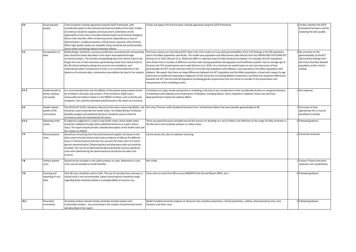| 4.4   | Assessing data                  | Trials should be critically appraised using the GATE framework, with                            | It does not appear the trial has been critically appraised using the GATE framework.                                                         | 2 Unclear whether the GATE    |
|-------|---------------------------------|-------------------------------------------------------------------------------------------------|----------------------------------------------------------------------------------------------------------------------------------------------|-------------------------------|
|       | quality                         | consideration given to the internal and external validity of the trials. Grades                 |                                                                                                                                              | framework has been used for   |
|       |                                 | of evidence should be assigned, and assessment undertaken on the                                |                                                                                                                                              | analysing the data quality.   |
|       |                                 | applicability of the trials to the New Zealand health sector [known biological                  |                                                                                                                                              |                               |
|       |                                 | factors that may alter effect of pharmaceutical, dependency on way of                           |                                                                                                                                              |                               |
|       |                                 |                                                                                                 |                                                                                                                                              |                               |
|       |                                 | administration, complex procedure, infrastructure required, other factors].                     |                                                                                                                                              |                               |
|       |                                 | When high-quality studies are available, these should be the preferred data                     |                                                                                                                                              |                               |
| 5.2   |                                 | source when estimating relative treatment effects.                                              |                                                                                                                                              |                               |
|       | <b>Extrapolation of</b><br>data | Methodology, limitations, and any possible bias associated with extrapolating                   | The heavy reliance on international RCT data in the CUA creates an issue with generalisability of the CUA findings to the NZ population,     | 3 No comment on the           |
|       |                                 | data should be clearly described in the report and explored through                             | and to the Māori population specifically. The model uses population and effectiveness data directly from the EMPAG-REG OUTCOME RCT           | generalisability of the RCT   |
|       |                                 | sensitivity analysis. This includes extrapolating data from clinical trials to the              | (Zinman et al. 2015; Wanner et al. 2016) that differ in important ways for New Zealand (see below). For example, the RCT population          | data and the findings from    |
|       |                                 | longer term (or to final outcomes), generalising results from clinical trials to                | were drawn from a number of different countries with varying population demographics and healthcare systems, had an average age of           | the trial to the New Zealand  |
|       |                                 | the NZ clinical setting by taking into account non-compliance, and                              | 63 years and 71% of participants were male (Zinman et al. 2015). At a minimum we would expect to see some discussion of how                  | population and/or clinical    |
|       |                                 | undertaking indirect comparisons of trials. It is recommended that in the                       | generalizable the RCT results (and the CUA) are to the NZ total population with diabetes, and separately to the Māori population with        | setting.                      |
|       |                                 | absence of conclusive data, conservative assumptions be used in the analysis.                   | diabetes. We expect that there are large differences between the RCT population and the Māori population, at least with respect to age       |                               |
|       |                                 |                                                                                                 | and access to healthcare impacting on diagnosis of CVD and access to existing diabetes treatments, and likely also important differences     |                               |
|       |                                 |                                                                                                 | between the RCT and the total NZ population (including gender proportions) that are critical to consider in the presentation and             |                               |
|       |                                 |                                                                                                 | interpretation of the modelling results.                                                                                                     |                               |
|       |                                 |                                                                                                 |                                                                                                                                              |                               |
| 6.1.2 | Health benefit to               | t is recommended that only the HRQOL of the patient being treated should                        | A limitation of using a funder perspective in modelling is the lack of any consideration of the considerable burden on caregivers/whanau     | 1 Not explored.               |
|       | family, whānau,                 | be included in the base-case analysis. If the treatment might have a                            | of individuals with diabetes and complications of diabetes, including dialysis. Given inequities in diabetes, these may well have            |                               |
|       | and society                     | measurable but indirect impact on the HRQOL of others, such as family and                       | disproportionate impacts for whānau Māori.                                                                                                   |                               |
|       |                                 | caregivers, this could be estimated and discussed in the report as a scenario.                  |                                                                                                                                              |                               |
|       |                                 |                                                                                                 |                                                                                                                                              |                               |
| 6.2   | Health-related                  | The NZ EQ-5D Tariff 2 should be referred to first when measuring HRQOL, and                     | Not used. Pharmac staff considered literature from had derived utilities that were boarder generalisable to NZ.                              | 1 Discussion of how           |
|       | quality of life                 | should be used to describe the health states. The Global Burden of Disease                      |                                                                                                                                              | appropriate this is may be    |
|       | instruments                     | disability weights and published literature should be used to check for                         |                                                                                                                                              | beneficial to include.        |
|       |                                 | consistency with the estimated EQ-5D values.                                                    |                                                                                                                                              |                               |
| 6.2.2 | Obtaining utility               | If subjective judgement is used to map health states, these health states                       | There was good discussion provided around the process for deciding on a set of utilities and reflection on the range of utility estimates in | 0 Followed guidance.          |
|       | values                          | should be validated through either published literature or expert clinical                      | the literature and sensitivity analyses on utility values.                                                                                   |                               |
|       |                                 | input. The report should provide a detailed description of the health state and                 |                                                                                                                                              |                               |
| 7.2   | Pharmaceutical                  | the impact on HRQOL<br>Should use net pricing from the pharmaceutical supplier, be based on the | Cannot assess this, due to redaction of pricing.                                                                                             | 0 Cannot be assessed.         |
|       | costs                           | dose used in the key clinical trials (unless evidence of efficacy for different                 |                                                                                                                                              |                               |
|       |                                 |                                                                                                 |                                                                                                                                              |                               |
|       |                                 | doses in clinical practice) and take into account the lower price of a future                   |                                                                                                                                              |                               |
|       |                                 | generic pharmaceutical. Dispensing fees and pharmacy mark-up should be                          |                                                                                                                                              |                               |
|       |                                 | included. The cost of co-administered pharmaceuticals and any significant                       |                                                                                                                                              |                               |
|       |                                 | costs with administering the pharmaceutical should also be taken into                           |                                                                                                                                              |                               |
|       |                                 | account.                                                                                        |                                                                                                                                              |                               |
| 7.8   | Indirect patient                | Should not be included in cost-utility analyses as costs. Reductions in such                    | Not visible.                                                                                                                                 | 1 Unclear if these have been  |
|       | costs                           | costs may be included as health benefits.                                                       |                                                                                                                                              | explored, even qualitatively. |
|       |                                 |                                                                                                 |                                                                                                                                              |                               |
|       |                                 |                                                                                                 |                                                                                                                                              |                               |
| 7.9   | Sourcing and                    | Only NZ costs should be used in CUAs. The use of cost data from overseas or                     | Costs seem to come from NZ sources (ANZDATA 41st Annual Report, BPAC, etc.).                                                                 | 0 Followed guidance.          |
|       | reporting of cost               | clinical trials is not recommended. Expert clinical opinion should be sough                     |                                                                                                                                              |                               |
|       | data                            | regarding likely treatment patterns and applicability of resource use.                          |                                                                                                                                              |                               |
|       |                                 |                                                                                                 |                                                                                                                                              |                               |
|       |                                 |                                                                                                 |                                                                                                                                              |                               |
|       |                                 |                                                                                                 |                                                                                                                                              |                               |
|       |                                 |                                                                                                 |                                                                                                                                              |                               |
| 10.1  | Parameter                       | Sensitivity analysis should include univariate (simple) analysis and                            | Model included sensitivity analyses on discount rates, baseline proportions, clinical parameters, utilities, pharmaceutical costs, time      | 0 Followed guidance.          |
|       | uncertainty                     | multivariate analysis any uncertainty in the analysis should be fully tested                    | horizons, and other costs.                                                                                                                   |                               |
|       |                                 | and described in the report.                                                                    |                                                                                                                                              |                               |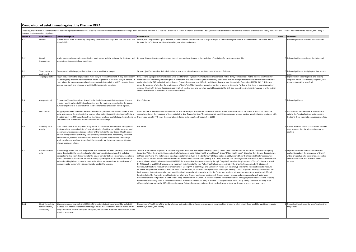|                                                                                                                                                                                                                                                                               | Comparison of ustekinumab against the Pharmac PFPA  |                                                                                                                                                                                                                                                                                                                                                                                                                                                                                                                                                                                                          |                                                                                                                                                                                                                                                                                                                                                                                                                                                                                                                                                                                                                                                                                                                                                                                                                                                                                                                                                                                                                                                                                                                                                                                                                                                                                                                                                                                                                                                                                                                                                                                                                                                                                                                                                                                                                                                                                                                                                                                                                                                                                                                                                                                                 |       |                                                                                                                                                                                                    |  |  |
|-------------------------------------------------------------------------------------------------------------------------------------------------------------------------------------------------------------------------------------------------------------------------------|-----------------------------------------------------|----------------------------------------------------------------------------------------------------------------------------------------------------------------------------------------------------------------------------------------------------------------------------------------------------------------------------------------------------------------------------------------------------------------------------------------------------------------------------------------------------------------------------------------------------------------------------------------------------------|-------------------------------------------------------------------------------------------------------------------------------------------------------------------------------------------------------------------------------------------------------------------------------------------------------------------------------------------------------------------------------------------------------------------------------------------------------------------------------------------------------------------------------------------------------------------------------------------------------------------------------------------------------------------------------------------------------------------------------------------------------------------------------------------------------------------------------------------------------------------------------------------------------------------------------------------------------------------------------------------------------------------------------------------------------------------------------------------------------------------------------------------------------------------------------------------------------------------------------------------------------------------------------------------------------------------------------------------------------------------------------------------------------------------------------------------------------------------------------------------------------------------------------------------------------------------------------------------------------------------------------------------------------------------------------------------------------------------------------------------------------------------------------------------------------------------------------------------------------------------------------------------------------------------------------------------------------------------------------------------------------------------------------------------------------------------------------------------------------------------------------------------------------------------------------------------------|-------|----------------------------------------------------------------------------------------------------------------------------------------------------------------------------------------------------|--|--|
| Effectively, this acts as an audit of the different medicines against the Pharmac PFPA to assess deviations from recommended methodology. It also allows us to rank from 0-3 on a scale of severity of "error" (O where it is<br>deviation that is material and significant). |                                                     |                                                                                                                                                                                                                                                                                                                                                                                                                                                                                                                                                                                                          |                                                                                                                                                                                                                                                                                                                                                                                                                                                                                                                                                                                                                                                                                                                                                                                                                                                                                                                                                                                                                                                                                                                                                                                                                                                                                                                                                                                                                                                                                                                                                                                                                                                                                                                                                                                                                                                                                                                                                                                                                                                                                                                                                                                                 |       |                                                                                                                                                                                                    |  |  |
| Section #                                                                                                                                                                                                                                                                     | <b>Section header</b>                               | <b>General description</b>                                                                                                                                                                                                                                                                                                                                                                                                                                                                                                                                                                               | <b>Ustekinumab</b>                                                                                                                                                                                                                                                                                                                                                                                                                                                                                                                                                                                                                                                                                                                                                                                                                                                                                                                                                                                                                                                                                                                                                                                                                                                                                                                                                                                                                                                                                                                                                                                                                                                                                                                                                                                                                                                                                                                                                                                                                                                                                                                                                                              | Score | <b>Comments</b>                                                                                                                                                                                    |  |  |
| 3.1                                                                                                                                                                                                                                                                           | Models                                              | Models should avoid unnecessary complexity and should be transparent, well described, and<br>reproducible.                                                                                                                                                                                                                                                                                                                                                                                                                                                                                               | Overall, the TAR provided a good overview of the model and key assumptions. A major strength of this modelling was the use of the PHARMAC IBD model which<br>included Crohn's disease and Ulcerative colitis, and a few medications.                                                                                                                                                                                                                                                                                                                                                                                                                                                                                                                                                                                                                                                                                                                                                                                                                                                                                                                                                                                                                                                                                                                                                                                                                                                                                                                                                                                                                                                                                                                                                                                                                                                                                                                                                                                                                                                                                                                                                            |       | 0 Followed guidance and used the IBD model.                                                                                                                                                        |  |  |
| 3.1.1                                                                                                                                                                                                                                                                         | Model<br>transparency                               | assumptions documented and explained.                                                                                                                                                                                                                                                                                                                                                                                                                                                                                                                                                                    | Model inputs and assumptions need to be clearly stated and the rationale for the inputs and By using this consistent model structure, there is improved consistency in the modelling of medicines for the treatment of IBD.                                                                                                                                                                                                                                                                                                                                                                                                                                                                                                                                                                                                                                                                                                                                                                                                                                                                                                                                                                                                                                                                                                                                                                                                                                                                                                                                                                                                                                                                                                                                                                                                                                                                                                                                                                                                                                                                                                                                                                     |       | 0 Followed guidance and used the IBD model.                                                                                                                                                        |  |  |
| 3.2                                                                                                                                                                                                                                                                           | Time horizon and<br>ycle length                     | The report should always justify the time horizon used in the analysis.                                                                                                                                                                                                                                                                                                                                                                                                                                                                                                                                  | 20 years, justified based on limited clinical data, and uncertain relapse and remitting natural history of disease.                                                                                                                                                                                                                                                                                                                                                                                                                                                                                                                                                                                                                                                                                                                                                                                                                                                                                                                                                                                                                                                                                                                                                                                                                                                                                                                                                                                                                                                                                                                                                                                                                                                                                                                                                                                                                                                                                                                                                                                                                                                                             |       | 0 Followed guidance, justifying the time horizon                                                                                                                                                   |  |  |
| 3.4                                                                                                                                                                                                                                                                           | Target population                                   | Target population is the NZ population most likely to receive treatment. It may be necessary<br>to use subgroup analyses if treatment can not be targeted to those most likely to benefit In<br>cases where the subgroup was defined retrospectively in the clinical trial(s), the data should<br>be used cautiously and evidence of statistical heterogeneity reported.                                                                                                                                                                                                                                 | New Zealand age-specific mortality rates were used for the background mortality rate in these models. While it may be reasonable not to model a treatment for<br>Crohn's disease specifically for Māori given it is identified as a rare condition (discussed below), there are a number of important equity issues that required further<br>exploration in the TAR and prioritisation dossier. Crohn's disease can be a difficult condition to diagnose, and diagnosis is often delayed (BPAC, 2021). This then<br>aises the question of whether the low incidence of Crohn's in Maori is real, or a result of barriers in access to diagnosis. Further to this, there is no assessment of<br>whether Māori with Crohn's disease are receiving best practice care and have had equitable access to the first- and second-line treatments required in order to then<br>access ustekinumab as a second- or third-line treatment.                                                                                                                                                                                                                                                                                                                                                                                                                                                                                                                                                                                                                                                                                                                                                                                                                                                                                                                                                                                                                                                                                                                                                                                                                                                                 |       | 2 Exploration of underdiagnosis and existing<br>nequities within Māori access, diagnosis, and<br>treatment would be beneficial.                                                                    |  |  |
| 3.5                                                                                                                                                                                                                                                                           | Comparator(s)                                       | Comparator(s) used in analyses should be the funded treatment that most prescribers or<br>clinicians would replace in NZ clinical practice, and the treatment prescribed to the largest<br>number of patients (if this differs from the treatment most prescribers would replace).                                                                                                                                                                                                                                                                                                                       | Use of placebo.                                                                                                                                                                                                                                                                                                                                                                                                                                                                                                                                                                                                                                                                                                                                                                                                                                                                                                                                                                                                                                                                                                                                                                                                                                                                                                                                                                                                                                                                                                                                                                                                                                                                                                                                                                                                                                                                                                                                                                                                                                                                                                                                                                                 |       | 0 Followed guidance.                                                                                                                                                                               |  |  |
| 4.1                                                                                                                                                                                                                                                                           | Data sources                                        | All appropriate levels of evidence should be identified: however, well-conducted RCTs and<br>meta-analyses are the preferred data sources when estimating relative treatment effects. In<br>the absence of valid RCTs, evidence from the highest available level of study design should be<br>considered with reference to the limitations of the study design.                                                                                                                                                                                                                                          | Given the lack of New Zealand data on Crohn's it was necessary to use overseas data in the models. Where international data are used it is important to include<br>ome discussion of the relevance of these data in the New Zealand context. The ustekinumab modelling assumes an average starting age of 40 years, consistent with<br>he average age of 37-40 years the international clinical trial population (Feagan et al, 2016).                                                                                                                                                                                                                                                                                                                                                                                                                                                                                                                                                                                                                                                                                                                                                                                                                                                                                                                                                                                                                                                                                                                                                                                                                                                                                                                                                                                                                                                                                                                                                                                                                                                                                                                                                          |       | 1 Discussion of the relevance of international<br>data to the New Zealand context necessary.<br>Unclear if there was meta-analyses conducted.                                                      |  |  |
| 4.4                                                                                                                                                                                                                                                                           | Assessing data<br>quality                           | Trials should be critically appraised using the GATE framework, with consideration given to<br>the internal and external validity of the trials. Grades of evidence should be assigned, and<br>assessment undertaken on the applicability of the trials to the New Zealand health sector<br>[known biological factors that may alter effect of pharmaceutical, dependency on way of<br>administration, complex procedure, infrastructure required, other factors]. When high-<br>quality studies are available, these should be the preferred data source when estimating<br>relative treatment effects. | Not visible.                                                                                                                                                                                                                                                                                                                                                                                                                                                                                                                                                                                                                                                                                                                                                                                                                                                                                                                                                                                                                                                                                                                                                                                                                                                                                                                                                                                                                                                                                                                                                                                                                                                                                                                                                                                                                                                                                                                                                                                                                                                                                                                                                                                    |       | 1 Unclear whether the GATE framework has been<br>used to assess the trial information used in<br>analysis.                                                                                         |  |  |
| 5.2                                                                                                                                                                                                                                                                           | Extrapolation of<br>data                            | Methodology, limitations, and any possible bias associated with extrapolating data should be<br>clearly described in the report and explored through sensitivity analysis. This includes<br>extrapolating data from clinical trials to the longer term (or to final outcomes), generalising<br>results from clinical trials to the NZ clinical setting by taking into account non-compliance,<br>and undertaking indirect comparisons of trials. It is recommended that in the absence of<br>conclusive data, conservative assumptions be used in the analysis.                                          | If Maori are known or suspected to be underdiagnosed and undertreated (with existing options), the model should account for this rather than assume ongoing<br>nequities. Within the prioritisation dossier, Crohn's disease is not a "Māori health area of focus". Under "Māori health need", it is noted that Crohn's disease is rare<br>n Māori and Pacific. This statement is based upon data from a study in the Canterbury DHB population in 2006, where 1% (n=8) of recruited Crohn's cases were<br>Mäori, and no Pacific Crohn's cases were identified and recruited into the study (Gearry et al. 2006). We note that study age-standardised total population rates are<br>compared with Māori crude rates in the PHARMAC documentation. A more recent study through Otago DHB found similarly low rates of Crohn's disease in Māori<br>(n=4) (Coppell et al. 2018). There are some important limitations to the study's findings that are not identified in the prioritisation dossier. Both Otago and<br>Canterbury DHBs have relatively small proportions of Māori (~7% in both Otago and Canterbury versus 15% nationally), limiting the studies abilities to measure<br>incidence and prevalence in Māori with precision. In both studies, recruitment strategies heavily relied upon existing Crohn's diagnoses and engagement with the<br>health system. In the Otago study, cases were identified through hospital records, and in the Canterbury study recruitment onto the study was through GP and<br>hospital clinics (the former by searching for terms relating to Crohn's and known treatments), Crohn's support groups, and more generally such as through<br>newspaper articles and posters. In addition to a likely underestimate of Crohn's in Maori due to the studies recruitment strategies (healthcare based and selecting<br>for more severe illness), there is a known undercount of Māori in health data (NHI) of around 15-20% (Reid et al. 2016; Cleary 2021), and Māori are likely to be<br>differentially impacted by the difficulties in diagnosing Crohn's disease due to inequities in the healthcare system, particularly in access to primary care. |       | Important considerations to be made and<br>explorations about the prevalence of Crohn's<br>within groups typically experiencing inequities<br>in health outcomes and access to health<br>services. |  |  |
| 6.1.2                                                                                                                                                                                                                                                                         | Health benefit to<br>family, whānau,<br>and society | It is recommended that only the HRQOL of the patient being treated should be included in<br>the base-case analysis. If the treatment might have a measurable but indirect impact on the<br>HRQOL of others, such as family and caregivers, this could be estimated and discussed in the<br>report as a scenario.                                                                                                                                                                                                                                                                                         | No mention of health benefit to family, whānau, and society. Not included as a scenario in the modelling. Unclear to what extent there would be significant impacts<br>for family, whānau, and society.                                                                                                                                                                                                                                                                                                                                                                                                                                                                                                                                                                                                                                                                                                                                                                                                                                                                                                                                                                                                                                                                                                                                                                                                                                                                                                                                                                                                                                                                                                                                                                                                                                                                                                                                                                                                                                                                                                                                                                                         |       | No exploration of potential benefits wider than<br>the patient.                                                                                                                                    |  |  |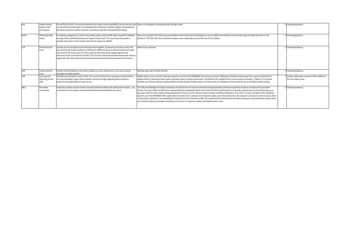| 6.2   | Health-related<br>quality of life<br>instruments | The NZ EQ-5D Tariff 2 should be referred to first when measuring HRQOL, and should be used Seems to be applied, incorporated into the IBD model.<br>to describe the health states. The Global Burden of Disease disability weights and published<br>literature should be used to check for consistency with the estimated EQ-5D values.                                                                                                                                            |                                                                                                                                                                                                                                                                                                                                                                                                                                                                                                                                                                                                                                                                                                                                                                                                                                                                                                                                                          | D Followed guidance.                                                    |
|-------|--------------------------------------------------|------------------------------------------------------------------------------------------------------------------------------------------------------------------------------------------------------------------------------------------------------------------------------------------------------------------------------------------------------------------------------------------------------------------------------------------------------------------------------------|----------------------------------------------------------------------------------------------------------------------------------------------------------------------------------------------------------------------------------------------------------------------------------------------------------------------------------------------------------------------------------------------------------------------------------------------------------------------------------------------------------------------------------------------------------------------------------------------------------------------------------------------------------------------------------------------------------------------------------------------------------------------------------------------------------------------------------------------------------------------------------------------------------------------------------------------------------|-------------------------------------------------------------------------|
| 6.2.2 | Obtaining utility<br>values                      | If subjective judgement is used to map health states, these health states should be validated<br>through either published literature or expert clinical input. The report should provide a<br>detailed description of the health state and the impact on HRQOL.                                                                                                                                                                                                                    | There was a good level of discussion provided around the process for deciding on a set of utilities and reflection on the wide range of utility estimates in the<br>literature. The TAR notes that sensitivity analyses were undertaken around the size of the utilities.                                                                                                                                                                                                                                                                                                                                                                                                                                                                                                                                                                                                                                                                                | D Followed guidance.                                                    |
| 7.2   | Pharmaceutical<br>costs                          | Should use net pricing from the pharmaceutical supplier, be based on the dose used in the<br>key clinical trials (unless evidence of efficacy for different doses in clinical practice) and take<br>into account the lower price of a future generic pharmaceutical. Dispensing fees and<br>pharmacy mark-up should be included. The cost of co-administered pharmaceuticals and any<br>significant costs with administering the pharmaceutical should also be taken into account. | seems to be captured                                                                                                                                                                                                                                                                                                                                                                                                                                                                                                                                                                                                                                                                                                                                                                                                                                                                                                                                     | D Followed guidance.                                                    |
| 7.8   | Indirect patient<br>:osts                        | Should not be included in cost-utility analyses as costs. Reductions in such costs may be<br>included as health benefits                                                                                                                                                                                                                                                                                                                                                           | Nothing captured as health benefits.                                                                                                                                                                                                                                                                                                                                                                                                                                                                                                                                                                                                                                                                                                                                                                                                                                                                                                                     | 0 Followed guidance.                                                    |
| 7.9   | Sourcing and<br>reporting of cost<br>data        | Only NZ costs should be used in CUAs. The use of cost data from overseas or clinical trials is<br>not recommended. Expert clinical opinion should be sough regarding likely treatment<br>patterns and applicability of resource use.                                                                                                                                                                                                                                               | Health system costs of Crohn's disease primarily came from the PHARMAC cost resource manual. Utilisation of health services drew from a prior assessment of<br>adalimumab for Ulcerative Colitis where utilisation data is stated to have been "provided by the supplier from a small survey of clinicians" (Table 1). It is unclear<br>whether any of these clinicians worked within the New Zealand health system, or if there was any validation of these data for use in the New Zealand setting.                                                                                                                                                                                                                                                                                                                                                                                                                                                    | Further exploration required of the validity of<br>the cost inputs used |
| 10.1  | Parameter<br>uncertainty                         | Sensitivity analysis should include univariate (simple) analysis and multivariate analysis any<br>uncertainty in the analysis should be fully tested and described in the report.                                                                                                                                                                                                                                                                                                  | The TAR acknowledges the large uncertainty around the loss of response estimate and appropriately undertook sensitivity analyses to explore this parameter<br>further. Five-year follow-up data have subsequently been published which show that only 41% of participants on 8 weekly ustekinumab continued therapy up to<br>five years with the main reasons being withdrawal of study consent, adverse events and lack of efficacy (Sandborn et al. 2021). A major strength of this modelling<br>was the use of the PHARMAC IBD model which included Crohn's disease and Ulcerative colitis, and a few medications. By using this consistent model structure, there<br>s improved consistency in the modelling of medicines for the treatment of IBD. The model itself included several sensitivity analyses on key parameters where there<br>was a lack of evidence and high uncertainty such as loss of response, utilities and health system costs. | D Followed guidance.                                                    |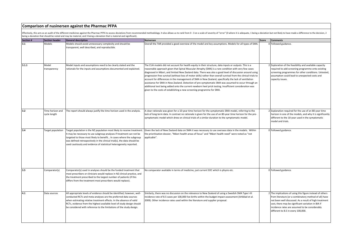#### **Comparison of nusinersen against the Pharmac PFPA**

Effectively, this acts as an audit of the different medicines against the Pharmac PFPA to assess deviations from recommended methodology. It also allows us to rank from 0-3 on a scale of severity of "error" (0 where it is being a deviation that should be noted and may be material, and 3 being a deviation that is material and significant).

| <b>Section #</b> | <b>Section header</b> | <b>General description</b>                                                | <b>Nuinersen</b>                                                                                                  | Score | <b>Comments</b>                                           |
|------------------|-----------------------|---------------------------------------------------------------------------|-------------------------------------------------------------------------------------------------------------------|-------|-----------------------------------------------------------|
| 3.1              | Models                | Models should avoid unnecessary complexity and should be                  | Overall the TAR provided a good overview of the model and key assumptions. Models for all types of SMA.           |       | 0 Followed guidance.                                      |
|                  |                       | transparent, well described, and reproducible.                            |                                                                                                                   |       |                                                           |
|                  |                       |                                                                           |                                                                                                                   |       |                                                           |
|                  |                       |                                                                           |                                                                                                                   |       |                                                           |
|                  |                       |                                                                           |                                                                                                                   |       |                                                           |
|                  |                       |                                                                           |                                                                                                                   |       |                                                           |
|                  |                       |                                                                           |                                                                                                                   |       |                                                           |
| 3.1.1            | Model                 | Model inputs and assumptions need to be clearly stated and the            | The CUA models did not account for health equity in their structure, data inputs or outputs. This is a            |       | Exploration of the feasibility and available capacity     |
|                  | transparency          | rationale for the inputs and assumptions documented and explained.        | reasonable approach given that Spinal Muscular Atrophy (SMA) is a rare condition with very few cases              |       | equired to add screening programme onto existing          |
|                  |                       |                                                                           | diagnosed in Māori, and limited New Zealand data. There was also a good level of discussion around using          |       | screening programmes for other conditions. Untested,      |
|                  |                       |                                                                           | progression free survival (without loss of motor skills) rather than overall survival from the clinical trials to |       | assumption could lead to unexpected costs and             |
|                  |                       |                                                                           | account for differences in the management of SMA in New Zealand, specifically the lack of ventilation             |       | capacity issues.                                          |
|                  |                       |                                                                           | assistance for SMA in New Zealand. Detection of pre-symptomatic SMA was assumed to occur through an               |       |                                                           |
|                  |                       |                                                                           | additional test being added onto the current newborn heel prick testing. Insufficient consideration was           |       |                                                           |
|                  |                       |                                                                           | given to the costs of establishing a new screening programme for SMA.                                             |       |                                                           |
|                  |                       |                                                                           |                                                                                                                   |       |                                                           |
|                  |                       |                                                                           |                                                                                                                   |       |                                                           |
|                  |                       |                                                                           |                                                                                                                   |       |                                                           |
|                  |                       |                                                                           |                                                                                                                   |       |                                                           |
|                  |                       |                                                                           |                                                                                                                   |       |                                                           |
|                  |                       |                                                                           |                                                                                                                   |       |                                                           |
| 3.2              | Time horizon and      | The report should always justify the time horizon used in the analysis.   | A clear rationale was given for a 10-year time horizon for the symptomatic SMA model, referring to the            |       | 2 Explanation required for the use of an 80-year time     |
|                  | cycle length          |                                                                           | lack of long term data. In contrast no rationale is given for the use of an 80-year time horizon for the pre-     |       | norizon in one of the models, and why it is significantly |
|                  |                       |                                                                           | symptomatic model which drew on clinical trials of a similar duration to the symptomatic model.                   |       | different to the 10-year used in the symptomatic          |
|                  |                       |                                                                           |                                                                                                                   |       | model and trials.                                         |
|                  |                       |                                                                           |                                                                                                                   |       |                                                           |
| 3.4              | Target population     | Target population is the NZ population most likely to receive treatment.  | Given the lack of New Zealand data on SMA it was necessary to use overseas data in the models. Within             |       | 0 Followed guidance.                                      |
|                  |                       |                                                                           | the prioritisation dossier, "Māori health areas of focus" and "Māori health need" were noted as "not              |       |                                                           |
|                  |                       | It may be necessary to use subgroup analyses if treatment can not be      | applicable".                                                                                                      |       |                                                           |
|                  |                       | targeted to those most likely to benefit In cases where the subgroup      |                                                                                                                   |       |                                                           |
|                  |                       | was defined retrospectively in the clinical trial(s), the data should be  |                                                                                                                   |       |                                                           |
|                  |                       | used cautiously and evidence of statistical heterogeneity reported.       |                                                                                                                   |       |                                                           |
|                  |                       |                                                                           |                                                                                                                   |       |                                                           |
|                  |                       |                                                                           |                                                                                                                   |       |                                                           |
|                  |                       |                                                                           |                                                                                                                   |       |                                                           |
|                  |                       |                                                                           |                                                                                                                   |       |                                                           |
|                  |                       |                                                                           |                                                                                                                   |       |                                                           |
|                  |                       |                                                                           |                                                                                                                   |       |                                                           |
| 3.5              | Comparator(s)         | Comparator(s) used in analyses should be the funded treatment that        | No comparator available in terms of medicine, just current SOC which is physio etc.                               |       | 0 Followed guidance.                                      |
|                  |                       |                                                                           |                                                                                                                   |       |                                                           |
|                  |                       | most prescribers or clinicians would replace in NZ clinical practice, and |                                                                                                                   |       |                                                           |
|                  |                       | the treatment prescribed to the largest number of patients (if this       |                                                                                                                   |       |                                                           |
|                  |                       | differs from the treatment most prescribers would replace).               |                                                                                                                   |       |                                                           |
|                  |                       |                                                                           |                                                                                                                   |       |                                                           |
|                  |                       |                                                                           |                                                                                                                   |       |                                                           |
| 4.1              | Data sources          | All appropriate levels of evidence should be identified; however, well-   | Similarly, there was no discussion on the relevance to New Zealand of using a Swedish SMA Type I-III              |       | 2 The implications of using this figure instead of others |
|                  |                       | conducted RCTs and meta-analyses are the preferred data sources           | incidence rate of 8.5 cases per 100,000 live births within the budget impact assessment (Arkblad et al.           |       | from literature (or a combinatory method of all) have     |
|                  |                       | when estimating relative treatment effects. In the absence of valid       | 2009). Other incidence rates used within the literature and supplier proposal.                                    |       | not been well discussed. As a result of high treatment    |
|                  |                       | RCTs, evidence from the highest available level of study design should    |                                                                                                                   |       | cost, there may be significant variation in BIA if        |
|                  |                       |                                                                           |                                                                                                                   |       |                                                           |
|                  |                       | be considered with reference to the limitations of the study design.      |                                                                                                                   |       | incidence rates are assumed to be considerably            |
|                  |                       |                                                                           |                                                                                                                   |       | different to 8.5 in every 100,000.                        |
|                  |                       |                                                                           |                                                                                                                   |       |                                                           |
|                  |                       |                                                                           |                                                                                                                   |       |                                                           |
|                  |                       |                                                                           |                                                                                                                   |       |                                                           |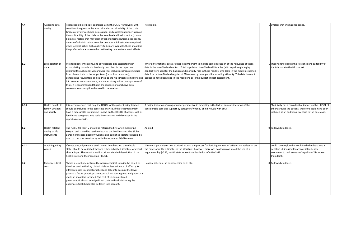| 4.4   | Assessing data    | Trials should be critically appraised using the GATE framework, with      | Not visible.                                                                                                                                                 | 1 Unclear that this has happened.                       |
|-------|-------------------|---------------------------------------------------------------------------|--------------------------------------------------------------------------------------------------------------------------------------------------------------|---------------------------------------------------------|
|       | quality           | consideration given to the internal and external validity of the trials.  |                                                                                                                                                              |                                                         |
|       |                   | Grades of evidence should be assigned, and assessment undertaken on       |                                                                                                                                                              |                                                         |
|       |                   | the applicability of the trials to the New Zealand health sector [known   |                                                                                                                                                              |                                                         |
|       |                   | biological factors that may alter effect of pharmaceutical, dependency    |                                                                                                                                                              |                                                         |
|       |                   | on way of administration, complex procedure, infrastructure required,     |                                                                                                                                                              |                                                         |
|       |                   | other factors]. When high-quality studies are available, these should be  |                                                                                                                                                              |                                                         |
|       |                   | the preferred data source when estimating relative treatment effects.     |                                                                                                                                                              |                                                         |
|       |                   |                                                                           |                                                                                                                                                              |                                                         |
|       |                   |                                                                           |                                                                                                                                                              |                                                         |
|       |                   |                                                                           |                                                                                                                                                              |                                                         |
| 5.2   | Extrapolation of  | Methodology, limitations, and any possible bias associated with           | Where international data are used it is important to include some discussion of the relevance of these                                                       | 1 Important to discuss the relevance and suitability of |
|       | data              | extrapolating data should be clearly described in the report and          | data in the New Zealand context. Total population New Zealand lifetables (with equal weighting by                                                            | the trial data to the NZ context.                       |
|       |                   | explored through sensitivity analysis. This includes extrapolating data   | gender) were used for the background mortality rate in these models. One table in the model presented                                                        |                                                         |
|       |                   | from clinical trials to the longer term (or to final outcomes),           | data from a New Zealand register of SMA cases by demographics including ethnicity. This data does not                                                        |                                                         |
|       |                   |                                                                           | generalising results from clinical trials to the NZ clinical setting by taking appear to have been used in the modelling or in the budget impact assessment. |                                                         |
|       |                   |                                                                           |                                                                                                                                                              |                                                         |
|       |                   | into account non-compliance, and undertaking indirect comparisons of      |                                                                                                                                                              |                                                         |
|       |                   | trials. It is recommended that in the absence of conclusive data,         |                                                                                                                                                              |                                                         |
|       |                   | conservative assumptions be used in the analysis.                         |                                                                                                                                                              |                                                         |
|       |                   |                                                                           |                                                                                                                                                              |                                                         |
|       |                   |                                                                           |                                                                                                                                                              |                                                         |
|       |                   |                                                                           |                                                                                                                                                              |                                                         |
| 6.1.2 | Health benefit to | It is recommended that only the HRQOL of the patient being treated        | A major limitation of using a funder perspective in modelling is the lack of any consideration of the                                                        | 1 SMA likely has a considerable impact on the HRQOL of  |
|       | family, whānau,   | should be included in the base-case analysis. If the treatment might      | considerable care and support by caregivers/whanau of individuals with SMA.                                                                                  | others around the patient, therefore could have been    |
|       | and society       | have a measurable but indirect impact on the HRQOL of others, such as     |                                                                                                                                                              | included as an additional scenario to the base case.    |
|       |                   | family and caregivers, this could be estimated and discussed in the       |                                                                                                                                                              |                                                         |
|       |                   | report as a scenario.                                                     |                                                                                                                                                              |                                                         |
|       |                   |                                                                           |                                                                                                                                                              |                                                         |
|       |                   |                                                                           |                                                                                                                                                              |                                                         |
| 6.2   | Health-related    | The NZ EQ-5D Tariff 2 should be referred to first when measuring          | Applied.                                                                                                                                                     | 0 Followed guidance.                                    |
|       | quality of life   | HRQOL, and should be used to describe the health states. The Global       |                                                                                                                                                              |                                                         |
|       | instruments       | Burden of Disease disability weights and published literature should be   |                                                                                                                                                              |                                                         |
|       |                   | used to check for consistency with the estimated EQ-5D values.            |                                                                                                                                                              |                                                         |
|       |                   |                                                                           |                                                                                                                                                              |                                                         |
| 6.2.2 | Obtaining utility | If subjective judgement is used to map health states, these health        | There was good discussion provided around the process for deciding on a set of utilities and reflection on                                                   | 1 Could have explored or explained why there was a      |
|       | values            | states should be validated through either published literature or expert  | the range of utility estimates in the literature, however, there was no discussion about the use of a                                                        | negative utility used (controversial in health          |
|       |                   | clinical input. The report should provide a detailed description of the   | negative utility (-0.12, health state worse than death) for infantile SMA.                                                                                   | economics to rank someone's quality of life worse       |
|       |                   | health state and the impact on HRQOL.                                     |                                                                                                                                                              | than death).                                            |
|       |                   |                                                                           |                                                                                                                                                              |                                                         |
| 7.2   | Pharmaceutical    | Should use net pricing from the pharmaceutical supplier, be based on      | Hospital schedule, so no dispensing costs etc.                                                                                                               | 0 Followed guidance.                                    |
|       | costs             | the dose used in the key clinical trials (unless evidence of efficacy for |                                                                                                                                                              |                                                         |
|       |                   | different doses in clinical practice) and take into account the lower     |                                                                                                                                                              |                                                         |
|       |                   | price of a future generic pharmaceutical. Dispensing fees and pharmacy    |                                                                                                                                                              |                                                         |
|       |                   | mark-up should be included. The cost of co-administered                   |                                                                                                                                                              |                                                         |
|       |                   | pharmaceuticals and any significant costs with administering the          |                                                                                                                                                              |                                                         |
|       |                   | pharmaceutical should also be taken into account.                         |                                                                                                                                                              |                                                         |
|       |                   |                                                                           |                                                                                                                                                              |                                                         |
|       |                   |                                                                           |                                                                                                                                                              |                                                         |
|       |                   |                                                                           |                                                                                                                                                              |                                                         |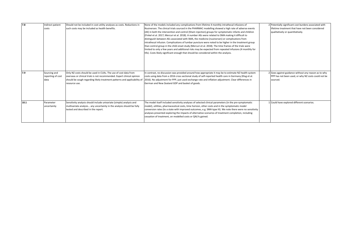| 7.8  | Indirect patient<br>costs                 | Should not be included in cost-utility analyses as costs. Reductions in<br>such costs may be included as health benefits.                                                                                                               | None of the models included any complications from lifetime 4 monthly intrathecal infusions of<br>Nusinersen. The clinical trials sourced in the PHARMAC modelling showed a high rate of adverse events<br>(AE) in both the intervention and control (Sham injection) groups for symptomatic infants and children<br>(Finkel et al. 2017; Mercuri et al. 2018). A number AEs were related to SMA making it difficult to<br>distinguish between AEs associated with SMA, the medicine (nusinersen) or complications from<br>intrathecal infusion. Complications of lumbar puncture were noted to be higher in the treatment group<br>than control group in the child onset study (Mercuri et al. 2018). The time frames of the trials were<br>limited to only a few years and additional risks may be expected from repeated infusions (4 monthly for<br>life). Costs likely significant enough that should be considered within the analysis. | 2 Potentially significant cost burdens associated with<br>lifetime treatment that have not been considered<br>qualitatively or quantitatively. |
|------|-------------------------------------------|-----------------------------------------------------------------------------------------------------------------------------------------------------------------------------------------------------------------------------------------|-----------------------------------------------------------------------------------------------------------------------------------------------------------------------------------------------------------------------------------------------------------------------------------------------------------------------------------------------------------------------------------------------------------------------------------------------------------------------------------------------------------------------------------------------------------------------------------------------------------------------------------------------------------------------------------------------------------------------------------------------------------------------------------------------------------------------------------------------------------------------------------------------------------------------------------------------|------------------------------------------------------------------------------------------------------------------------------------------------|
| 7.9  | Sourcing and<br>reporting of cost<br>data | Only NZ costs should be used in CUAs. The use of cost data from<br>overseas or clinical trials is not recommended. Expert clinical opinion<br>should be sough regarding likely treatment patterns and applicability of<br>resource use. | In contrast, no discussion was provided around how appropriate it may be to estimate NZ health system<br>costs using data from a 2016 cross sectional study of self-reported health care in Germany (Klug et al.<br>2016). No adjustment for PPP, just used exchange rate and inflation adjustment. Clear differences in<br>German and New Zealand GDP and basket of goods.                                                                                                                                                                                                                                                                                                                                                                                                                                                                                                                                                                   | 2 Goes against guidance without any reason as to why<br>PPP has not been used, or why NZ costs could not be<br>sourced.                        |
| 10.1 | Parameter<br>uncertainty                  | Sensitivity analysis should include univariate (simple) analysis and<br>multivariate analysis any uncertainty in the analysis should be fully<br>tested and described in the report.                                                    | The model itself included sensitivity analyses of selected clinical parameters (in the pre-symptomatic<br>model), utilities, pharmaceutical costs, time horizon, other costs and in the symptomatic model<br>conversion rates (to a state with improved outcomes, e.g. SMA type III). We note there were no sensitivity<br>analyses presented exploring the impacts of alternative scenarios of treatment completion, including<br>cessation of treatment, on modelled costs or QALYs gained.                                                                                                                                                                                                                                                                                                                                                                                                                                                 | 1 Could have explored different scenarios.                                                                                                     |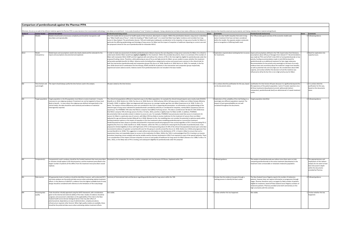|           |                          | Comparison of pembrolizumab against the Pharmac PFPA                                                                                                                                                                                                                                                                                                                                                                                                                                                                                                                                                    |                                                                                                                                                                                                                                                                                                                                                                                                                                                                                                                                                                                                                                                                                                                                                                                                                                                                                                                                                                                                                                                                                                                                                                                                                                                                                                                                                                                                                                                                                                                                                                                                                                                                                                                                                                                                                                                                                                                                                                                                                                                                                                                                                                                                                                                                                                                                                                                                                                                                                                                                                                                                                                                                                                                                                                                                                                                                                                                                                                                                                                                                                      |                                                                                                                                                                                                                                       |                                                                                                                                                                                                                                                                                                                                                                                                                                                                                                                                                                                                                                                                                                                                                                                                                      |                                                                                                                                                                   |
|-----------|--------------------------|---------------------------------------------------------------------------------------------------------------------------------------------------------------------------------------------------------------------------------------------------------------------------------------------------------------------------------------------------------------------------------------------------------------------------------------------------------------------------------------------------------------------------------------------------------------------------------------------------------|--------------------------------------------------------------------------------------------------------------------------------------------------------------------------------------------------------------------------------------------------------------------------------------------------------------------------------------------------------------------------------------------------------------------------------------------------------------------------------------------------------------------------------------------------------------------------------------------------------------------------------------------------------------------------------------------------------------------------------------------------------------------------------------------------------------------------------------------------------------------------------------------------------------------------------------------------------------------------------------------------------------------------------------------------------------------------------------------------------------------------------------------------------------------------------------------------------------------------------------------------------------------------------------------------------------------------------------------------------------------------------------------------------------------------------------------------------------------------------------------------------------------------------------------------------------------------------------------------------------------------------------------------------------------------------------------------------------------------------------------------------------------------------------------------------------------------------------------------------------------------------------------------------------------------------------------------------------------------------------------------------------------------------------------------------------------------------------------------------------------------------------------------------------------------------------------------------------------------------------------------------------------------------------------------------------------------------------------------------------------------------------------------------------------------------------------------------------------------------------------------------------------------------------------------------------------------------------------------------------------------------------------------------------------------------------------------------------------------------------------------------------------------------------------------------------------------------------------------------------------------------------------------------------------------------------------------------------------------------------------------------------------------------------------------------------------------------------|---------------------------------------------------------------------------------------------------------------------------------------------------------------------------------------------------------------------------------------|----------------------------------------------------------------------------------------------------------------------------------------------------------------------------------------------------------------------------------------------------------------------------------------------------------------------------------------------------------------------------------------------------------------------------------------------------------------------------------------------------------------------------------------------------------------------------------------------------------------------------------------------------------------------------------------------------------------------------------------------------------------------------------------------------------------------|-------------------------------------------------------------------------------------------------------------------------------------------------------------------|
|           |                          |                                                                                                                                                                                                                                                                                                                                                                                                                                                                                                                                                                                                         | Effectively, this acts as an audit of the different medicines against the Pharmac PFPA to assess deviations from recommended methodology. It also allows us to rank from 0 - 3 on a scale of severity of "error" (0 where it i                                                                                                                                                                                                                                                                                                                                                                                                                                                                                                                                                                                                                                                                                                                                                                                                                                                                                                                                                                                                                                                                                                                                                                                                                                                                                                                                                                                                                                                                                                                                                                                                                                                                                                                                                                                                                                                                                                                                                                                                                                                                                                                                                                                                                                                                                                                                                                                                                                                                                                                                                                                                                                                                                                                                                                                                                                                       |                                                                                                                                                                                                                                       |                                                                                                                                                                                                                                                                                                                                                                                                                                                                                                                                                                                                                                                                                                                                                                                                                      |                                                                                                                                                                   |
| Section # |                          | Section header General description<br>odels should avoid unnecessary complexity and should be transparent, well<br>described, and reproducible                                                                                                                                                                                                                                                                                                                                                                                                                                                          | Pembrolizumab (lung cancer)<br>he CUA models did not account for health equity in their structure, data inputs or outputs. Within the prioritisation dossiers, lung cancer is identified<br>as a "Māori health area of focus". Under the beading of "Māori health need", it is noted that Māori have higher incidence and mortality from Jung.<br>cancer in New Zealand. The prioritisation dossier, TAR and models give inadequate consideration to the inequities in lung cancer burden for Māori, in<br>particular the differing epidemiology and histology of lung cancers for Māori and the impact of inequities in healthcare impacting on current care and<br>the proposed criteria for the use of pembrolizumab for metastatic NSCLC.                                                                                                                                                                                                                                                                                                                                                                                                                                                                                                                                                                                                                                                                                                                                                                                                                                                                                                                                                                                                                                                                                                                                                                                                                                                                                                                                                                                                                                                                                                                                                                                                                                                                                                                                                                                                                                                                                                                                                                                                                                                                                                                                                                                                                                                                                                                                        | Score Comments<br>There are clear health inequities that exist in lung<br>cancer treatment that have not been considered<br>within the models. No separate analysis conducted.<br>and no recognition of differing health need.        | Pembrolizumab (melanoma)<br>he TAR provides good overview of the economic model used.                                                                                                                                                                                                                                                                                                                                                                                                                                                                                                                                                                                                                                                                                                                                | Score Comments<br>Followed guidance.                                                                                                                              |
| 3.1.1     | Model<br>transparency    | Model inputs and assumptions need to be clearly stated and the rationale for the<br>inputs and assumptions documented and explained.                                                                                                                                                                                                                                                                                                                                                                                                                                                                    | In order to make any assessment of whether pembrolizumab is likely to improve the vast disparities in lung cancer outcomes for Māori, it is critical to<br>inderstand whether Mäori would have equity in eligibility for this treatment. Within the provided documents, there is no estimate of the number of<br>Mäori with metastatic NSCLC (EGRF and ALK negative) with and without the criterion of PB-L1>50, that might be eligible for pembrolizumab under the<br>roposed funding criteria. Therefore, while addressing an area of focus and high priority for Mäori, we are unable to assess whether this treatment<br>will provide equitable benefits for Māori. Adverse events (including those categorised as serious and severe) were common in the clinical trials for<br>both the intervention (pembrolizumab) and comparator groups (Paz Ares et al. 2018: Gandhi et al. 2018: Reck et al. 2016). For example, in the Paz<br>kres 2018 clinical trial of combination first line therapy, 69.8% and 68.2% of patients in the intervention and comparator groups respectively<br>experienced severe adverse events. Adverse events from pembrolizumab were not included in the base models.                                                                                                                                                                                                                                                                                                                                                                                                                                                                                                                                                                                                                                                                                                                                                                                                                                                                                                                                                                                                                                                                                                                                                                                                                                                                                                                                                                                                                                                                                                                                                                                                                                                                                                                                                                                                                                                                               | for treatments.                                                                                                                                                                                                                       | 3 Exploration required about existing barriers to access Inputs and assumptions defined in the TAR, hazard ratios from literature,<br>assumptions about efficacy of dosages from relevant CT. Recommendation<br>was made by PTAC and CaTSoP in late 2015 to fund pembrolizumab on low<br>priority, funding recommendation made in mid-2016 by board for<br>pembrolizumab as an additional treatment for late-stage melanoma.<br>Recommendation for low priority only seemingly on the basis of an early<br>evidence base and uncertainty about the medicine's longer term benefits,<br>as well as potential risks and very high cost. No consideration about DHB<br>capacity, and unclear whether the decision to fund the medicine was<br>influenced at all by the fact this is not a high priority area for Maori. | 2 Need for exploration into<br>capacity issues.                                                                                                                   |
| 3.2       | cycle length             | Time horizon and The report should always justify the time horizon used in the analysis.                                                                                                                                                                                                                                                                                                                                                                                                                                                                                                                | 20-years stated as the time horizon.                                                                                                                                                                                                                                                                                                                                                                                                                                                                                                                                                                                                                                                                                                                                                                                                                                                                                                                                                                                                                                                                                                                                                                                                                                                                                                                                                                                                                                                                                                                                                                                                                                                                                                                                                                                                                                                                                                                                                                                                                                                                                                                                                                                                                                                                                                                                                                                                                                                                                                                                                                                                                                                                                                                                                                                                                                                                                                                                                                                                                                                 | on the documents alone.                                                                                                                                                                                                               | 1 It is unclear what the justification for this was, based Justification for time horizon 40 years because it is significantly beyond the<br>life expectancy of the patient population. Cycle of 3 weeks reported, since<br>all three treatments (dacarbazine (current), ipilimumab (indirect<br>comparator), pembrolizumab (test)) are administered in 3-week treatmen<br>cycles.                                                                                                                                                                                                                                                                                                                                                                                                                                   | 1 It is unclear what the<br>ustification for this was.<br>ased on the documents<br>lone                                                                           |
| 3.4       | <b>Target population</b> | Target population is the NZ population most likely to receive treatment. It may be<br>necessary to use subgroup analyses if treatment can not be targeted to those most<br>likely to benefit In cases where the subgroup was defined retrospectively in the<br>clinical trial(s), the data should be used cautiously and evidence of statistical<br>heterogeneity reported                                                                                                                                                                                                                              | The clinical trial populations differed in important ways to the Mäori population, for example the clinical trial participants were mostly male (59-81%)<br>Gandhi et al. 2018; Herbst et al. 2016; Paz Ares et al. 2018; Reck et al. 2016) whereas 56% of all lung cancers in Māori are in Māori females (Ministry<br>of Health. 2018). In addition, Māori are diagnosed with lung cancer at a younger median age than non-Māori (Lawrenson et al. 2018; Te Aho o Te<br>Kahu). The impacts of these differences were not considered in the CUA or supporting documentation. no information on the epidemiology of the<br>relevant types of lung cancer indicated for pembrolizumab is provided by ethnicity or considered for inequities, namely NSCLC (squamous and non-<br>squamous). The PHARMAC TAR notes that NSCLCs comprise most (80%) of all lung cancers. This data is unreferenced. NZ data for 2015-2018 show<br>that NSCLC comprise 70% of all lung cancers (Te Aho o Te Kahu, 2021), and this is slightly lower for Mäori at 66%. In addition, PHARMAC<br>documentation fails to provide context in relation to access to care. For example, PHARMAC have previously noted that access to treatments for<br>cancers for Mäori is a particular area of concern, with Mäori 35% less likely to receive medicines for the treatment of cancers than non-Mäori<br>(adjusted for age and disease burden) (Metcalf et al. 2018). Relevant to this, the modelling does not consider the potential to optimise equity within<br>existing treatment options or the impact of inequities in first line treatments when modelling pembrolizumab as a second line treatment.<br>Pembrolizumab has been shown to provide clinical benefit in improved overall and progression-free survival regardless of PD-L1 level (including PD-L1<br>negative) (Paz Ares et al. 2018; Gandhi et al. 2018). However, within the TAR, as a method for reducing the fiscal burden of pembrolizumab, it was<br>roposed to limited eligibility to those with high levels of PD-L1>50 (representing about 25-30% of the clinical trial populations) based upon some (but<br>nconsistent) evidence of a greater survival benefit seen for this group in overall survival (Paz Ares et al. 2018; Herbst et al. 2016) and progression free<br>survival (Gandhi et al. 2018). This suggestion is made without any information on the distribution of PD-L1 levels in Mäori to ensure that such a<br>requirement does not inequitably impact on access to this medication for Māori. Within the TAR it is acknowledged that PD-L1 testing is an invasive<br>procedure (requiring a tissue sample) and may be variably used by clinicians (estimated at 10%) if not required as a part of the special authority. There<br>is no consideration of the impact of known inequities in access to and quality of healthcare for lung cancer for Mäori (Stevens et al. 2008: Te Aho o Te<br>Kahu. 2021), on the likely rates of PD-L1 testing, and subsequent eligibility for pembrolizumab under this proposal. | 3 Exploration of the suitability of the trial findings to a Target population identified.<br>eemingly very different population required. The<br>impacts of poor generalisability are not well<br>socialised throughout the documents |                                                                                                                                                                                                                                                                                                                                                                                                                                                                                                                                                                                                                                                                                                                                                                                                                      | 0 Followed guidance.                                                                                                                                              |
| 3.5       | Comparator(s)            | or clinicians would replace in NZ clinical practice, and the treatment prescribed to the<br>largest number of patients (if this differs from the treatment most prescribers would<br>replace).                                                                                                                                                                                                                                                                                                                                                                                                          | Comparator(s) used in analyses should be the funded treatment that most prescribers Docetaxel as the comparator for one line, another comparator arm too because of ill fitness. Explained within TAR.                                                                                                                                                                                                                                                                                                                                                                                                                                                                                                                                                                                                                                                                                                                                                                                                                                                                                                                                                                                                                                                                                                                                                                                                                                                                                                                                                                                                                                                                                                                                                                                                                                                                                                                                                                                                                                                                                                                                                                                                                                                                                                                                                                                                                                                                                                                                                                                                                                                                                                                                                                                                                                                                                                                                                                                                                                                                               | 0 Followed guidance.                                                                                                                                                                                                                  | The analysis of pembrolizumab was indirect since there were no trials<br>comparing pembrolizumab to the active treatment (dacarbazine) in the<br>treatment naïve unresectable or metastatic melanoma population.                                                                                                                                                                                                                                                                                                                                                                                                                                                                                                                                                                                                     | 2 The appropriateness and<br>plications of this indirect<br>analysis do not seem to have<br>een discussed in depth<br>ithin the documents<br>provided by Pharmac. |
| 4.1       | Data sources             | and meta-analyses are the preferred data sources when estimating relative treatment<br>effects. In the absence of valid RCTs, evidence from the highest available level of study<br>design should be considered with reference to the limitations of the study design.                                                                                                                                                                                                                                                                                                                                  | All appropriate levels of evidence should be identified; however, well-conducted RCTs Summary of international trials and literature regarding pembrolizumab for lung cancer within the TAR.                                                                                                                                                                                                                                                                                                                                                                                                                                                                                                                                                                                                                                                                                                                                                                                                                                                                                                                                                                                                                                                                                                                                                                                                                                                                                                                                                                                                                                                                                                                                                                                                                                                                                                                                                                                                                                                                                                                                                                                                                                                                                                                                                                                                                                                                                                                                                                                                                                                                                                                                                                                                                                                                                                                                                                                                                                                                                         | 1 Unclear that the evidence has gone through a<br>ranking process to identify the best suited.                                                                                                                                        | The New Zealand Cancer Registry reports the number of melanoma<br>patients, however does not capture information on progression through<br>stages. Pharmac therefore used a surrogate for likely number of patients<br>eligible for treatment, based off New Zealand Cancer Registry numbers of<br>melanoma patients. Pharmac provided some brief commentary on the<br>high uncertainty with this estimate.                                                                                                                                                                                                                                                                                                                                                                                                          | 0 Followed guidance.                                                                                                                                              |
| A         | Assessing data<br>uality | Trials should be critically appraised using the GATE framework, with consideration<br>given to the internal and external validity of the trials. Grades of evidence should be<br>assigned, and assessment undertaken on the applicability of the trials to the New<br>Zealand health sector [known biological factors that may alter effect of<br>pharmaceutical, dependency on way of administration, complex procedure.<br>infrastructure required, other factors]. When high-quality studies are available, these<br>should be the preferred data source when estimating relative treatment effects. | Not visible.                                                                                                                                                                                                                                                                                                                                                                                                                                                                                                                                                                                                                                                                                                                                                                                                                                                                                                                                                                                                                                                                                                                                                                                                                                                                                                                                                                                                                                                                                                                                                                                                                                                                                                                                                                                                                                                                                                                                                                                                                                                                                                                                                                                                                                                                                                                                                                                                                                                                                                                                                                                                                                                                                                                                                                                                                                                                                                                                                                                                                                                                         | 1 Unclear whether this has happened.                                                                                                                                                                                                  | Not visible.                                                                                                                                                                                                                                                                                                                                                                                                                                                                                                                                                                                                                                                                                                                                                                                                         | 1 Unclear whether this has<br>appened.                                                                                                                            |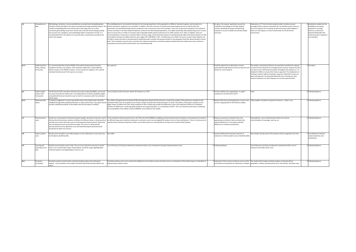| 5.2   | Extrapolation of<br>data                            | Methodology, limitations, and any possible bias associated with extrapolating data<br>includes extrapolating data from clinical trials to the longer term (or to final<br>outcomes), generalising results from clinical trials to the NZ clinical setting by taking<br>into account non-compliance, and undertaking indirect comparisons of trials. It is<br>recommended that in the absence of conclusive data, conservative assumptions be<br>used in the analysis. | The modelling drew on international trial data for the starting proportions of the population on different treatment regimes, and transitions to:<br>should be clearly described in the report and explored through sensitivity analysis. This further treatments, supportive care and death. In addition, the main outcomes of overall survival and progression free survival for<br>ttervention arm (pembrolizumab) and the comparator arms of usual care come from trial data. There was no discussion provided on the relevance<br>of these estimates in the New Zealand healthcare context for the New Zealand population, or for Māori specifically. New Zealand lung cancer survival<br>rates are worse than a number of countries with comparable health systems (Lawrenson et al. 2018, Coleman et al. 2011). In addition, there are<br>known disparities in lung cancer survival for Mäori overall, by stage, and of particular relevance to pembrolizumab, Mäori with distant disease are 30%<br>nore likely to die than non-Māori (with the same stage), HR 1.298 (95%Cl 1.226- 1.374) (Gurney et al. 2020). The worse survival in New Zealand, and<br>for Mäori, means that there is the potential for pembrolizumab to achieve even greater benefits at the population level than demonstrated in clinical<br>trials. The assumptions around cancer survival in the model are important as sensitivity analyses indicated that the models were most sensitive to<br>assumptions around overall survival and the cost of pembrolizumab. | 3 As above, this requires exploration around the<br>suitability of the findings to the New Zealand<br>context, specifically for groups already facing<br>inequities in access to health care and also health<br>outcomes. | Explanation of CT that informed model provided. Limitation around<br>oncology infusion capacity mentioned, but not well discussed in terms of<br>the risk of capacity not increasing. No discussion about what happens if<br>there isn't the capacity, or what it would mean for the NZ clinical<br>environment.                                                                                                                                                                                                                                                                                        | 2 Exploration needed into the<br>feasibility of increasing<br>capacity for oncology<br>infusion, as well as the<br>potential disbenefits that<br>could eventuate if capacity is<br>not extended. |
|-------|-----------------------------------------------------|-----------------------------------------------------------------------------------------------------------------------------------------------------------------------------------------------------------------------------------------------------------------------------------------------------------------------------------------------------------------------------------------------------------------------------------------------------------------------|------------------------------------------------------------------------------------------------------------------------------------------------------------------------------------------------------------------------------------------------------------------------------------------------------------------------------------------------------------------------------------------------------------------------------------------------------------------------------------------------------------------------------------------------------------------------------------------------------------------------------------------------------------------------------------------------------------------------------------------------------------------------------------------------------------------------------------------------------------------------------------------------------------------------------------------------------------------------------------------------------------------------------------------------------------------------------------------------------------------------------------------------------------------------------------------------------------------------------------------------------------------------------------------------------------------------------------------------------------------------------------------------------------------------------------------------------------------------------------------------------------------------------------------------------|---------------------------------------------------------------------------------------------------------------------------------------------------------------------------------------------------------------------------|---------------------------------------------------------------------------------------------------------------------------------------------------------------------------------------------------------------------------------------------------------------------------------------------------------------------------------------------------------------------------------------------------------------------------------------------------------------------------------------------------------------------------------------------------------------------------------------------------------|--------------------------------------------------------------------------------------------------------------------------------------------------------------------------------------------------|
| 6.1.2 | Health benefit to<br>family, whänau,<br>and society | It is recommended that only the HRQOL of the patient being treated should be<br>included in the base-case analysis. If the treatment might have a measurable but<br>indirect impact on the HRQOL of others, such as family and caregivers, this could be<br>estimated and discussed in the report as a scenario.                                                                                                                                                      | Not captured.                                                                                                                                                                                                                                                                                                                                                                                                                                                                                                                                                                                                                                                                                                                                                                                                                                                                                                                                                                                                                                                                                                                                                                                                                                                                                                                                                                                                                                                                                                                                        | 1 Could be explored as an alternative scenario,<br>burden for cancer patients.                                                                                                                                            | The analysis conducted by Pharmac assumed there would be the capacity<br>particularly through literature that has observed care to meet the extra demand for oncology infusion services, however this did<br>not seem to be a well tested assumption throughout the analysis (i.e. is it<br>feasible for DHBs to increase their infusion capacity?). The implications of<br>funding a medicine without having the capacity to administer it have not<br>been well captured. The potential disbenefits also of closing out other<br>infusion treatments for other diseases are not well captured either. | 2 See above.                                                                                                                                                                                     |
| 6.2   | Health-related<br>quality of life<br>nstruments     | The NZ EQ-5D Tariff 2 should be referred to first when measuring HROOL, and should Use of EurOOL Eq-5D instrument. Based off Chouaid et al., 2013.<br>be used to describe the health states. The Global Burden of Disease disability weights<br>and published literature should be used to check for consistency with the estimated<br>EQ-5D values.                                                                                                                  |                                                                                                                                                                                                                                                                                                                                                                                                                                                                                                                                                                                                                                                                                                                                                                                                                                                                                                                                                                                                                                                                                                                                                                                                                                                                                                                                                                                                                                                                                                                                                      | 1 Unclear whether this is appropriate, or a good<br>substitute for the NZ EQ-5D Tariff 2.                                                                                                                                 | Used.                                                                                                                                                                                                                                                                                                                                                                                                                                                                                                                                                                                                   | D Followed guidance.                                                                                                                                                                             |
| 6.2.2 | Obtaining utility<br>values                         | If subjective judgement is used to map health states, these health states should be<br>validated through either published literature or expert clinical input. The report should<br>provide a detailed description of the health state and the impact on HRQOL.                                                                                                                                                                                                       | he utilities of progression-free disease (0.58) and progressive disease (0.70) came from a study of the quality-of-life preferences of patients with<br>metastatic NSCLC from 25 hospitals across Europe, Canada, Australia and Turkey (Chouaid et al. 2013). The authors of this paper comment on the<br>igher values of utilities from their study compared to other studies and consider the difference is due to the important influence of "elicitation<br>nethod, the difference in study population (patients versus general public), or a combination of both". This is an important point when considering<br>the comparability of the utilities used by PHARMAC across different CUA models.                                                                                                                                                                                                                                                                                                                                                                                                                                                                                                                                                                                                                                                                                                                                                                                                                                               | 2 Needs further discussion/exploration on why or why<br>not this is appropriate for the Pharmac analysis.                                                                                                                 | Utility weights calculated compared to literature - similar in size.                                                                                                                                                                                                                                                                                                                                                                                                                                                                                                                                    | 0 Followed guidance                                                                                                                                                                              |
| 7.2   | Pharmaceutical<br>costs                             | and take into account the lower price of a future generic pharmaceutical. Dispensing<br>fees and pharmacy mark-up should be included. The cost of co-administered<br>pharmaceuticals and any significant costs with administering the pharmaceutical<br>should also be taken into account.                                                                                                                                                                            | Should use net pricing from the pharmaceutical supplier, be based on the dose used in In the calculation of pharmaceutical costs, the TAR notes that PHARMAC modelling used international clinical trial data on the proportio<br>the key clinical trials (unless evidence of efficacy for different doses in clinical practice) on different lung cancer medicine treatments to estimate current care and applied NZ medicine costs to these distributions. The<br>whether these treatment proportions reflect current (best practice or actual) patterns of lung cancer treatment New Zealand.                                                                                                                                                                                                                                                                                                                                                                                                                                                                                                                                                                                                                                                                                                                                                                                                                                                                                                                                                     | 2 Requires assessment of whether this is the<br>appropriate and whether there are likely to be<br>material differences in costs given potential<br>differences in treatment proportions.                                  | Seemingly fine. Costs of administration taken into account,<br>accommodation for wastage, mark-up, etc.                                                                                                                                                                                                                                                                                                                                                                                                                                                                                                 | 0 Followed guidance                                                                                                                                                                              |
| 7.8   | Indirect patient<br>costs                           | Should not be included in cost-utility analyses as costs. Reductions in such costs may<br>be included as health benefits.                                                                                                                                                                                                                                                                                                                                             | Not visible.                                                                                                                                                                                                                                                                                                                                                                                                                                                                                                                                                                                                                                                                                                                                                                                                                                                                                                                                                                                                                                                                                                                                                                                                                                                                                                                                                                                                                                                                                                                                         | 1 Unclear whether there has been inclusion of<br>reductions in indirect patient costs as health benefits                                                                                                                  | Not included. No discussion of the adverse events recognised in the trial.                                                                                                                                                                                                                                                                                                                                                                                                                                                                                                                              | 1 Consideration of adverse<br>events important, even<br>qualitatively.                                                                                                                           |
| 7.9   | Sourcing and<br>reporting of cost<br>data           | Only NZ costs should be used in CUAs. The use of cost data from overseas or clinical<br>trials is not recommended. Expert clinical opinion should be sough regarding likely<br>treatment patterns and applicability of resource use.                                                                                                                                                                                                                                  | Use of Pharmac Cost Resource Manual to estimate the other costs of treatment (outside of pharmaceutical cost).                                                                                                                                                                                                                                                                                                                                                                                                                                                                                                                                                                                                                                                                                                                                                                                                                                                                                                                                                                                                                                                                                                                                                                                                                                                                                                                                                                                                                                       | 0 Followed guidance.                                                                                                                                                                                                      | Use of Pharmac Cost Resource Manual to estimate the other costs of<br>treatment and health sector costs                                                                                                                                                                                                                                                                                                                                                                                                                                                                                                 | 0 Followed guidance.                                                                                                                                                                             |
| 10.1  | Parameter<br>uncertainty                            | Sensitivity analysis should include univariate (simple) analysis and multivariate<br>analysis any uncertainty in the analysis should be fully tested and described in the<br>renort                                                                                                                                                                                                                                                                                   | Sensitivity analyses were run to examine the additional costs of adverse events, but there was no consideration of the health impacts or (disutility) of<br>experiencing an adverse event.                                                                                                                                                                                                                                                                                                                                                                                                                                                                                                                                                                                                                                                                                                                                                                                                                                                                                                                                                                                                                                                                                                                                                                                                                                                                                                                                                           |                                                                                                                                                                                                                           | 1 Exploration of the severity of adverse events and the The model itself included sensitivity analyses of selected clinical<br>associated costs important for robustness of analysis. parameters, utilities, pharmaceutical costs, time horizon, and other costs.                                                                                                                                                                                                                                                                                                                                       | D Followed guidance.                                                                                                                                                                             |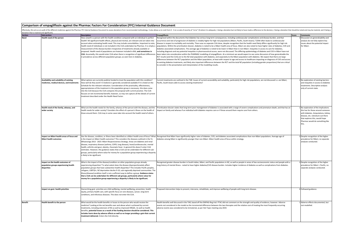| Comparison of empagliflozin against the Pharmac Factors For Consideration (FFC) Internal Guidance Document |
|------------------------------------------------------------------------------------------------------------|
|                                                                                                            |
|                                                                                                            |

|                | (ffectively, this acts as an audit of the different medicines against the Pharmac FFC Internal Guidance Document to assess deviations from recommended methodology. It also allows us to rank from 0 - 3 on a scale of severit<br>deviation that is material and significant). |                                                                                                                                                                                                                                                                                                                                                                                                                                                                                                                                                                                                                                                                                                                                         |                                                                                                                                                                                                                                                                                                                                                                                                                                                                                                                                                                                                                                                                                                                                                                                                                                                                                                                                                                                                                                                                                                                                                                                                                                                                                                                                                                                                                                                                                                                                                                                                                                                                                                                                                              |       |                                                                                                                                                                                                                                   |  |  |  |
|----------------|--------------------------------------------------------------------------------------------------------------------------------------------------------------------------------------------------------------------------------------------------------------------------------|-----------------------------------------------------------------------------------------------------------------------------------------------------------------------------------------------------------------------------------------------------------------------------------------------------------------------------------------------------------------------------------------------------------------------------------------------------------------------------------------------------------------------------------------------------------------------------------------------------------------------------------------------------------------------------------------------------------------------------------------|--------------------------------------------------------------------------------------------------------------------------------------------------------------------------------------------------------------------------------------------------------------------------------------------------------------------------------------------------------------------------------------------------------------------------------------------------------------------------------------------------------------------------------------------------------------------------------------------------------------------------------------------------------------------------------------------------------------------------------------------------------------------------------------------------------------------------------------------------------------------------------------------------------------------------------------------------------------------------------------------------------------------------------------------------------------------------------------------------------------------------------------------------------------------------------------------------------------------------------------------------------------------------------------------------------------------------------------------------------------------------------------------------------------------------------------------------------------------------------------------------------------------------------------------------------------------------------------------------------------------------------------------------------------------------------------------------------------------------------------------------------------|-------|-----------------------------------------------------------------------------------------------------------------------------------------------------------------------------------------------------------------------------------|--|--|--|
| Section        | Sub-section                                                                                                                                                                                                                                                                    | <b>Description</b>                                                                                                                                                                                                                                                                                                                                                                                                                                                                                                                                                                                                                                                                                                                      | <b>Empagliflozin</b>                                                                                                                                                                                                                                                                                                                                                                                                                                                                                                                                                                                                                                                                                                                                                                                                                                                                                                                                                                                                                                                                                                                                                                                                                                                                                                                                                                                                                                                                                                                                                                                                                                                                                                                                         | Score | <b>Comments</b>                                                                                                                                                                                                                   |  |  |  |
| Need           | Health need of the person                                                                                                                                                                                                                                                      | How unwell is a person with the health condition compared with an individual in perfect<br>health? All significant health effects, physical and mental, are relevant and are taken into<br>account when estimating health need. This may include comorbidities. Important to note,<br>health need of individuals is not included in the CUA undertaken by Pharmac. It is simply a<br>measurement of the disease burden irrespective of treatments already available or<br>proposed. Health need of populations are however included in BIA, and sometimes in<br>CUA. Assumedly, this would enter CUA when there is recognition of significant differences<br>n prevalence across different population groups; as seen here in diabetes. | Recognised within the documents that diabetes has serious long-term consequences, including cardiovascular complications and disease burden, and that<br>occurrence and rate of progression of diabetes is notably higher for high risk populations (Māori, Pacific, South Asians). T2DM often leads to cardiovascular<br>disease in respect to morbidity and mortality. There was no separate CUA done, despite recognition that the health need likely differs significantly for high risk<br>populations. Within the prioritisation dossier, diabetes is noted to be a Māori health area of focus. Māori are also noted to have higher rates of diabetes, CVD and<br>diabetes associated complications. The average age of diabetes is noted to be lower in Māori than in non-Māori. Inequities in access to care for diabetes,<br>including diagnosis and any potential inequities in pharmaceutical access, were not discussed. The differing epidemiology of diabetes and CVD in Mäori have not<br>been taken into consideration within the PHARMAC modelling of empagliflozin. At a minimum we would expect to see some discussion of how generalizable the<br>RCT results (and the CUA) are to the NZ total population with diabetes, and separately to the Māori population with diabetes. We expect that there are large<br>differences between the RCT population and the Mäori population, at least with respect to age and access to healthcare impacting on diagnosis of CVD and access<br>to existing diabetes treatments, and likely also important differences between the RCT and the total NZ population (including gender proportions) that are critical<br>to consider in the presentation and interpretation of the modelling results. |       | Discussion on generalisability and<br>analysis do not fully explore key<br>issues about the potential impact<br>for Māori.                                                                                                        |  |  |  |
|                | Availability and suitability of existing<br>medicines, medical devices, and treatments                                                                                                                                                                                         | What options are currently publicly funded to treat the population with this condition?<br>How well do they work? A medicine is generally considered available if it is listed on the<br>Schedule for the relevant indication. Consideration of the practicality, effectiveness,<br>appropriateness of the treatment in the population group is necessary. this does come<br>nto the CUA because the CUA compares the proposal with current practice. The CUA<br>ocuses on net incremental benefit, however, so may not capture all the details of current<br>reatment described under the Health Need Factor.                                                                                                                          | Current treatments are outlined in the TAR. Issues of current accessibility and suitability, particularly for high risk populations, are not discussed i.e. are Māori,<br>Pacific, South Asians able to access existing treatments?                                                                                                                                                                                                                                                                                                                                                                                                                                                                                                                                                                                                                                                                                                                                                                                                                                                                                                                                                                                                                                                                                                                                                                                                                                                                                                                                                                                                                                                                                                                          |       | No exploration of existing barriers<br>and inequities in access to diabetes<br>treatments. Descriptive analysis<br>only of current state.                                                                                         |  |  |  |
|                | Health need of the family, whanau, and<br>wider society                                                                                                                                                                                                                        | What are the health needs for the family, whanau of the person with the disease, and the<br>nealth needs for wider society? Considers the effect of a person's illness on the health of<br>those around them. CUA may in some cases take into account the health need of others.                                                                                                                                                                                                                                                                                                                                                                                                                                                        | Prioritisation dossier states that long-term poor management of diabetes is associated with a range of severe complications and premature death, and that has an<br>mpact on family and whanau if an individual with diabetes requires care or if those around them require care from others.                                                                                                                                                                                                                                                                                                                                                                                                                                                                                                                                                                                                                                                                                                                                                                                                                                                                                                                                                                                                                                                                                                                                                                                                                                                                                                                                                                                                                                                                |       | No exploration of the implications<br>this has for those around someone<br>vith diabetes. Amputations, kidney<br>disease, etc. Literature out there<br>that explores this, would hope<br>Pharmac would do something like<br>this. |  |  |  |
|                | Impact on Māori health areas of focus and<br>Māori health outcomes                                                                                                                                                                                                             | s the impact on Mäori health outcomes? This considers the diseases outlined in the Te<br>Vhaioranga 2013 - 2023: Māori Responsiveness Strategy. Areas are diabetes and renal<br>disease, respiratory disease (asthma, COPD, lung disease), heart/cardiovascular, mental<br>health, arthritis and gout, obesity, rheumatic fever. In general this doesn't enter CUA<br>estimates. However, the guidance states that a CUA can be undertaken for different sub-<br>groups, particularly where value for money for a population group experiencing a disparity<br>is likely to be significant.                                                                                                                                             | Has the disease, condition, or illness been identified as a Māori health area of focus? What Recognised that Māori have significantly higher rates of diabetes, CVD, and diabetes associated complications than non-Māori popu<br>diabetes among Māori is significantly younger than non-Māori. Māori health area of focus within strategy.                                                                                                                                                                                                                                                                                                                                                                                                                                                                                                                                                                                                                                                                                                                                                                                                                                                                                                                                                                                                                                                                                                                                                                                                                                                                                                                                                                                                                  |       | Despite recognition of the higher<br>prevalence for Mäori, no separate<br>analyses conducted.                                                                                                                                     |  |  |  |
|                | Impact on the health outcomes of<br>population groups experiencing health<br>disparities                                                                                                                                                                                       | What is the impact of the disease/condition on other population groups already<br>experiencing disparities? To what extent does the disease disproportionately affect<br>oopulation groups that have substantive health disparities? This includes Pacific peoples,<br>efugees, LGBTQI+, NZ deprivation deciles 9-10, sub-regionally deprived communities. The<br>Iness/disease/condition itself is not a sufficient way to define a group. Guidance states<br>that a CUA can be undertaken for different sub-groups, particularly where value for<br>money for a population group experiencing a disparity is likely to be significant.                                                                                                | Recognised greater disease burden in South Indian, Māori, and Pacific populations in NZ, as well as people in areas of low socioeconomic status and people with a<br>ong-history of mental illness - noted to have higher diabetes/CVD disease burden. Includes higher incidence of diabetes as well as complications from diabetes.                                                                                                                                                                                                                                                                                                                                                                                                                                                                                                                                                                                                                                                                                                                                                                                                                                                                                                                                                                                                                                                                                                                                                                                                                                                                                                                                                                                                                         |       | Despite recognition of the higher<br>revalence for Mäori + Pacific, no<br>separate analyses conducted.                                                                                                                            |  |  |  |
|                | Impact on govt. health priorities                                                                                                                                                                                                                                              | Overarching govt. priorities are child wellbeing, mental wellbeing, prevention, health<br>equity, primary health care, with specific focus on rare diseases, cancer, long-term<br>conditions, and infectious diseases. This does not enter the CUA.                                                                                                                                                                                                                                                                                                                                                                                                                                                                                     | Proposed intervention helps to prevent, intervene, rehabilitate, and improve wellbeing of people with long-term disease.                                                                                                                                                                                                                                                                                                                                                                                                                                                                                                                                                                                                                                                                                                                                                                                                                                                                                                                                                                                                                                                                                                                                                                                                                                                                                                                                                                                                                                                                                                                                                                                                                                     |       | Followed guidance.                                                                                                                                                                                                                |  |  |  |
| <b>Benefit</b> | <b>Health benefit to the person</b>                                                                                                                                                                                                                                            | What would be the health benefits or losses to the person who would receive the<br>medicine? Looking at the net benefits over and above what is achieved by current<br>reatments, including extension of life as well as improved HRQOL. As well as health<br>enefits, potential losses as a result of the funding decision should be considered. This<br>includes harm done by adverse effects as well as no longer providing a gain that current<br>treatment delivered. Enters the CUA directly.                                                                                                                                                                                                                                     | Health benefits well discussed in the TAR, based off the EMPAG-Reg trial. PTAC did not comment on the strength and quality of evidence, however. Adverse<br>events not considered in the model as the incremental difference between the two therapies and the relative cost of treating the most frequently occurring<br>adverse events was considered to be immaterial, as per Hot Topic meeting July 2019                                                                                                                                                                                                                                                                                                                                                                                                                                                                                                                                                                                                                                                                                                                                                                                                                                                                                                                                                                                                                                                                                                                                                                                                                                                                                                                                                 |       | Adverse effects documented, but<br>not modelled.                                                                                                                                                                                  |  |  |  |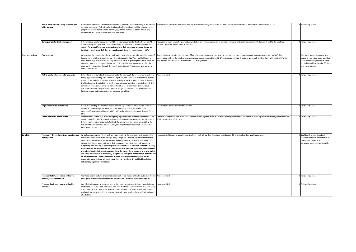|                          | Health benefit to the family, whanau, and<br>wider society | What would be the health benefits for the family, whanau, or wider society of the person<br>receiving treatment? Only clinically significant health benefits should be counted here -         | Prevention of premature death and reduced likelihood of being hospitalised for heart failure, benefit to family and whanau. Not included in CUA.                                                                                                                                                                      |  | 0 Followed guidance.                                                      |  |
|--------------------------|------------------------------------------------------------|-----------------------------------------------------------------------------------------------------------------------------------------------------------------------------------------------|-----------------------------------------------------------------------------------------------------------------------------------------------------------------------------------------------------------------------------------------------------------------------------------------------------------------------|--|---------------------------------------------------------------------------|--|
|                          |                                                            | judgement required as to what is clinically significant. Benefits to others not usually<br>counted in CUA, unless vaccines and herd immunity.                                                 |                                                                                                                                                                                                                                                                                                                       |  |                                                                           |  |
|                          |                                                            |                                                                                                                                                                                               |                                                                                                                                                                                                                                                                                                                       |  |                                                                           |  |
|                          | Consequences for the health system                         | If the proposal was funded, what would be the consequences for the health system? Does                                                                                                        | Reduction in heart failure hospitalisations, initiation of insulin, progression to macroalbuminuria, and renal replacement. Reduction of cost to the healthcare                                                                                                                                                       |  | 0 Followed guidance.                                                      |  |
|                          |                                                            | it relate to any govt. priorities? Includes relieving or increasing pressure on the health<br>system. Flow-on effects may be complicated and their perceived presence should be               | system. Calculated and included in the CUA.                                                                                                                                                                                                                                                                           |  |                                                                           |  |
|                          |                                                            | justified or made clear that they are hypothetical. Generally not included in CUA.                                                                                                            |                                                                                                                                                                                                                                                                                                                       |  |                                                                           |  |
| <b>Costs and savings</b> | To the person                                              | What would the health-related costs and savings be to the person who would be treated?<br>Regardless of whether the patient pays it or it is subsidised by Vote Health. Change in             | Add-on therapy, therefore an increase of four pharmacy co-payments per year, per person. Increase not experienced by patients who start on SGLT-2 in<br>combination with metformin (net change in prescriptions assumed to be 0). GP costs assumed to be 0; patients assumedly will bundle in with existing GP visits |  | Questions about inequitable access<br>to primary care that could be asked |  |
|                          |                                                            | costs and savings over status quo. May include GP visits, dispensing fees, travel costs, co-                                                                                                  | hat patients would have for diabetes and CVD management.                                                                                                                                                                                                                                                              |  | when considering the assumption                                           |  |
|                          |                                                            | payments, part charges, care in home, etc. CUA generally only analyses costs that the                                                                                                         |                                                                                                                                                                                                                                                                                                                       |  | about being able to bundle GP visits                                      |  |
|                          |                                                            | govt. partially subsidises through the health sector budget. Private costs and savings are                                                                                                    |                                                                                                                                                                                                                                                                                                                       |  | and prescriptions.                                                        |  |
|                          |                                                            | excluded from CUA.                                                                                                                                                                            |                                                                                                                                                                                                                                                                                                                       |  |                                                                           |  |
|                          | To the family, whanau, and wider society                   | Defined and considered in the same way as to the individual. Do not consider whether a                                                                                                        | None identified.                                                                                                                                                                                                                                                                                                      |  | Followed guidance.                                                        |  |
|                          |                                                            | family is privately funding a treatment for a patient, and any loss of income from inability<br>to work is not included (however, consider inability to work as a loss of usual activities in |                                                                                                                                                                                                                                                                                                                       |  |                                                                           |  |
|                          |                                                            | the Need quadrant, and ability to work as a gain in usual activities in health benefit). Only                                                                                                 |                                                                                                                                                                                                                                                                                                                       |  |                                                                           |  |
|                          |                                                            | certain direct healthcare costs are included in CUA, specifically those that the govt.                                                                                                        |                                                                                                                                                                                                                                                                                                                       |  |                                                                           |  |
|                          |                                                            | partially subsidise through the health sector budget. Otherwise, costs and savings to                                                                                                         |                                                                                                                                                                                                                                                                                                                       |  |                                                                           |  |
|                          |                                                            | family, whanau, and wider society are excluded from CUA.                                                                                                                                      |                                                                                                                                                                                                                                                                                                                       |  |                                                                           |  |
|                          |                                                            |                                                                                                                                                                                               |                                                                                                                                                                                                                                                                                                                       |  |                                                                           |  |
|                          |                                                            |                                                                                                                                                                                               |                                                                                                                                                                                                                                                                                                                       |  |                                                                           |  |
|                          |                                                            |                                                                                                                                                                                               |                                                                                                                                                                                                                                                                                                                       |  |                                                                           |  |
|                          | To pharmaceutical expenditure                              | How would funding the proposal impact pharma expenditure? Would fund it result in<br>savings from switching from already funded pharmaceuticals? Net effect. Covers                           | dentified and broken down within the TAR.                                                                                                                                                                                                                                                                             |  | 0 Followed guidance.                                                      |  |
|                          |                                                            | Combined Pharmaceutical Budget (CPB) and both hospital medicines and devices. Enters                                                                                                          |                                                                                                                                                                                                                                                                                                                       |  |                                                                           |  |
|                          |                                                            | CUA.                                                                                                                                                                                          |                                                                                                                                                                                                                                                                                                                       |  |                                                                           |  |
|                          | To the rest of the health system                           | Potential costs and savings that funding the proposal may have for the rest of the health<br>system. Net effect. Not to be confused with health benefit consequences for the system           | Potential savings discussed in the TAR and dossier; through reduction in heart failure hospitalisations and initiation of renal replacement therapy associated with<br>SGLTi therapy. Use of NZ costs.                                                                                                                |  | Followed guidance.                                                        |  |
|                          |                                                            | Defines health system as being Vote Health funding where that funding is enabling the                                                                                                         |                                                                                                                                                                                                                                                                                                                       |  |                                                                           |  |
|                          |                                                            | delivery of health services. Includes DHBs, and any other services which are funded via                                                                                                       |                                                                                                                                                                                                                                                                                                                       |  |                                                                           |  |
|                          |                                                            | Vote Health. Enters CUA.                                                                                                                                                                      |                                                                                                                                                                                                                                                                                                                       |  |                                                                           |  |
| <b>Suitability</b>       | Features of the medicine that impact on use                | What features may impact use by the person receiving the medicine? Is it registered for                                                                                                       | ncrease in pill burden of population with already high pill burden. Seemingly no indication if this is significant or would pose issues.                                                                                                                                                                              |  | Could ask the question about                                              |  |
|                          | by the person                                              | the disease or disorder that funding is being sought for? Includes issues that may make                                                                                                       |                                                                                                                                                                                                                                                                                                                       |  | whether there will be decreases in                                        |  |
|                          |                                                            | use difficult, less effective, or dissuade or prevent people from using it altogether. Can                                                                                                    |                                                                                                                                                                                                                                                                                                                       |  | medicine adherence as                                                     |  |
|                          |                                                            | include size, shape, taste, method of delivery, ease of use, time required, packaging,                                                                                                        |                                                                                                                                                                                                                                                                                                                       |  | consequence of having more pills.                                         |  |
|                          |                                                            | supporting info, training. Subgroups particularly important to consider. While this is likely                                                                                                 |                                                                                                                                                                                                                                                                                                                       |  |                                                                           |  |
|                          |                                                            | to be reported with qualitative data, evidence is still required. If possible, compare with<br>the suitability of existing treatments to show the size of the improvement or worsening.       |                                                                                                                                                                                                                                                                                                                       |  |                                                                           |  |
|                          |                                                            | Can affect a CUA result, but indirectly. If significant enough to impact health benefits, will                                                                                                |                                                                                                                                                                                                                                                                                                                       |  |                                                                           |  |
|                          |                                                            | be included in CUA. Common example is when cost-effectiveness depends on the                                                                                                                  |                                                                                                                                                                                                                                                                                                                       |  |                                                                           |  |
|                          |                                                            | assumptions made about adherence and the costs and benefits and likelihood of an                                                                                                              |                                                                                                                                                                                                                                                                                                                       |  |                                                                           |  |
|                          |                                                            | adherence programme affect use.                                                                                                                                                               |                                                                                                                                                                                                                                                                                                                       |  |                                                                           |  |
|                          |                                                            |                                                                                                                                                                                               |                                                                                                                                                                                                                                                                                                                       |  |                                                                           |  |
|                          |                                                            |                                                                                                                                                                                               |                                                                                                                                                                                                                                                                                                                       |  |                                                                           |  |
|                          | Features that impact on use by family,                     | Are there certain features of the medicine which could impact on health outcomes if it has                                                                                                    | None identified.                                                                                                                                                                                                                                                                                                      |  | Followed guidance.                                                        |  |
|                          | whanau, and wider society                                  | to be given by someone other than the patient? Same as above about entering CUA.                                                                                                              |                                                                                                                                                                                                                                                                                                                       |  |                                                                           |  |
|                          | Features that impact on use by health                      | Considering instances where members of the health workforce administer a medicine or                                                                                                          | None identified.                                                                                                                                                                                                                                                                                                      |  | 0 Followed guidance.                                                      |  |
|                          | workforce                                                  | medical device to a person. Considers how easy it is for a health worker to use, how likely                                                                                                   |                                                                                                                                                                                                                                                                                                                       |  |                                                                           |  |
|                          |                                                            | it is a health worker could make an error. Could even include features which dissuade<br>workers from using a product at all even though it could be clinically beneficial. Indirectly        |                                                                                                                                                                                                                                                                                                                       |  |                                                                           |  |
|                          |                                                            | affects CUA.                                                                                                                                                                                  |                                                                                                                                                                                                                                                                                                                       |  |                                                                           |  |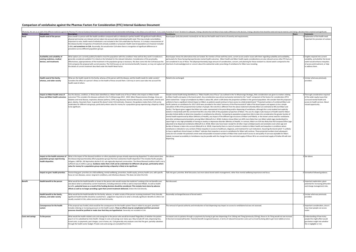#### **Comparison of venlafaxine against the Pharmac Factors For Consideration (FFC) Internal Guidance Document**

| <b>Section</b>           | Sub-section                                                                               | <b>Description</b>                                                                                                                                                                                                                                                                                                                                                                                                                                                                                                                                                                                                                                                                                           | Effectively, this acts as an audit of the different medicines against the Pharmac FFC Internal Guidance Document to assess deviations from recommended methodology. It also allows us to rank from 0-3 on a scale of severity<br>Venlafaxine                                                                                                                                                                                                                                                                                                                                                                                                                                                                                                                                                                                                                                                                                                                                                                                                                                                                                                                                                                                                                                                                                                                                                                                                                                                                                                                                                                                                                                                                                                                                                                                                                                                                                                                                                                                                                                                                                                                                                                                                                                                                                                                                                                                                                                                                                                                                                                                                                                                                                                                                                                                                                                                                                                                                                                                                                                                                                                              | Score | <b>Comments</b>                                                                                                                                                   |
|--------------------------|-------------------------------------------------------------------------------------------|--------------------------------------------------------------------------------------------------------------------------------------------------------------------------------------------------------------------------------------------------------------------------------------------------------------------------------------------------------------------------------------------------------------------------------------------------------------------------------------------------------------------------------------------------------------------------------------------------------------------------------------------------------------------------------------------------------------|-----------------------------------------------------------------------------------------------------------------------------------------------------------------------------------------------------------------------------------------------------------------------------------------------------------------------------------------------------------------------------------------------------------------------------------------------------------------------------------------------------------------------------------------------------------------------------------------------------------------------------------------------------------------------------------------------------------------------------------------------------------------------------------------------------------------------------------------------------------------------------------------------------------------------------------------------------------------------------------------------------------------------------------------------------------------------------------------------------------------------------------------------------------------------------------------------------------------------------------------------------------------------------------------------------------------------------------------------------------------------------------------------------------------------------------------------------------------------------------------------------------------------------------------------------------------------------------------------------------------------------------------------------------------------------------------------------------------------------------------------------------------------------------------------------------------------------------------------------------------------------------------------------------------------------------------------------------------------------------------------------------------------------------------------------------------------------------------------------------------------------------------------------------------------------------------------------------------------------------------------------------------------------------------------------------------------------------------------------------------------------------------------------------------------------------------------------------------------------------------------------------------------------------------------------------------------------------------------------------------------------------------------------------------------------------------------------------------------------------------------------------------------------------------------------------------------------------------------------------------------------------------------------------------------------------------------------------------------------------------------------------------------------------------------------------------------------------------------------------------------------------------------------------|-------|-------------------------------------------------------------------------------------------------------------------------------------------------------------------|
| Need                     | <b>Health need of the person</b>                                                          | How unwell is a person with the health condition compared with an individual in perfect health? All significant health effects,<br>physical and mental, are relevant and are taken into account when estimating health need. This may include comorbidities,<br>Important to note, health need of individuals is not included in the CUA undertaken by Pharmac. It is simply a measurement of<br>the disease burden irrespective of treatments already available or proposed. Health need of populations are however included<br>in BIA, and sometimes in CUA. Assumedly, this would enter CUA when there is recognition of significant differences in<br>prevalence across different population groups.     | Board paper (only documents received) do not discuss the health need in terms of severity and requirements.                                                                                                                                                                                                                                                                                                                                                                                                                                                                                                                                                                                                                                                                                                                                                                                                                                                                                                                                                                                                                                                                                                                                                                                                                                                                                                                                                                                                                                                                                                                                                                                                                                                                                                                                                                                                                                                                                                                                                                                                                                                                                                                                                                                                                                                                                                                                                                                                                                                                                                                                                                                                                                                                                                                                                                                                                                                                                                                                                                                                                                               |       | O Explanation of the health need<br>important for provision of context                                                                                            |
|                          | Availability and suitability of<br>existing medicines, medical<br>devices, and treatments | What options are currently publicly funded to treat the population with this condition? How well do they work? A medicine is<br>generally considered available if it is listed on the Schedule for the relevant indication. Consideration of the practicality,<br>effectiveness, appropriateness of the treatment in the population group is necessary. this does come into the CUA because the<br>CUA compares the proposal with current practice. The CUA focuses on net incremental benefit, however, so may not capture all   total lack of acknowledgement or concern about the substantial under prescribing of venlafaxine<br>the details of current treatment described under the Health Need Factor | Board paper shows the alternatives that are funded. No mention of how well they work, current access and/or issues with them regarding suitability and availability,<br>particularly for those facing disproportionate mental health outcomes. Māori health and Māori health equity considerations are also relevant across other EEC but are<br>not considered in any of these. The (disproportionately) large amount of consideration, concern, and planning for those resistant to a brand switch compared to the                                                                                                                                                                                                                                                                                                                                                                                                                                                                                                                                                                                                                                                                                                                                                                                                                                                                                                                                                                                                                                                                                                                                                                                                                                                                                                                                                                                                                                                                                                                                                                                                                                                                                                                                                                                                                                                                                                                                                                                                                                                                                                                                                                                                                                                                                                                                                                                                                                                                                                                                                                                                                                      |       | 2 Insights required into current<br>suitability, and whether the brand<br>switch would enhance inequities<br>of access and treatment, or help<br>to address them. |
|                          | Health need of the family.<br>whanau, and wider society                                   | What are the health needs for the family, whanau of the person with the disease, and the health needs for wider society?<br>Considers the effect of a person's illness on the health of those around them. CUA may in some cases take into account the<br>health need of others.                                                                                                                                                                                                                                                                                                                                                                                                                             | Noted to be unchanged                                                                                                                                                                                                                                                                                                                                                                                                                                                                                                                                                                                                                                                                                                                                                                                                                                                                                                                                                                                                                                                                                                                                                                                                                                                                                                                                                                                                                                                                                                                                                                                                                                                                                                                                                                                                                                                                                                                                                                                                                                                                                                                                                                                                                                                                                                                                                                                                                                                                                                                                                                                                                                                                                                                                                                                                                                                                                                                                                                                                                                                                                                                                     |       | 1 Unclear what was previously<br>provided                                                                                                                         |
|                          | Impact on Mäori health areas of<br>focus and Mäori health outcome:                        | Has the disease, condition, or illness been identified as a Māori health area of focus? What is the impact on Māori health<br>utcomes? This considers the diseases outlined in the Te Whaioranga 2013 - 2023: Māori Responsiveness Strategy. Areas are<br>diabetes and renal disease, respiratory disease (asthma, COPD, lung disease), heart/cardiovascular, mental health, arthritis and<br>gout, obesity, rheumatic fever. In general this doesn't enter CUA estimates. However, the guidance states that a CUA can be<br>undertaken for different sub-groups, particularly where value for money for a population group experiencing a disparity is likely<br>to be significant.                         | Despite mental health being identified as a "Māori health area of focus" (as outlined in the Te Whaioranga Strategy), little consideration was given to matters relating<br>to Maori health and equity in the brand switch. Any consideration was almost exclusively restricted to the "need" component of the factors for consideration (FFC)<br>which stated that: "Usage of venlafaxine by Māori is about 8%, which is 50% below the proportion of Māori in the general population. We consider that this proposal is<br>unlikely to have a significant clinical impact on Mãori, as patients would continue to have access to a fully funded brand." Projected numbers of combined Mãori and<br>Pacific patients on venlafaxine for 2017-2019 were provided in the initial 'Summary of the Pharmaceutical' table of the board papers and appears to be a simple<br>calculation of 8% of the projected total number of people. We note this is different from the above statement whereby Māori are estimated at 8% (not Māori and<br>Pacific). The figures given suggest that Maori are under-represented in the prescribing and/or dispensing of venlafaxine, although this is only implied (not explicitly<br>stated or interpreted) with the comment that 8% is less than 50% of the population proportion of Māori. The use of a single crude measure of health need for Māori<br>provides limited ability to determine inequities in venlafaxine by ethnicity. Comparing to population proportions fails to take into consideration the greater burden of<br>mental health experienced by Māori (Ministry of Health), any impact of the different age structures of Māori and Pākehā, or the known unmet need for venlafaxine<br>and other antidepressants/anxiolytics among Māori (Metcalf et al. 2018). Evidence shows Māori are 60% more likely than non-Māori adults (age-standardised) to<br>report high or very high probability of having an anxiety or depressive disorder (Ministry of Health). In contrast, Maori are 52% less likely than NZ European/Other (age-<br>adjusted) to be dispensed venlafaxine (Metcalf et al. 2018). Māori also have lower receipt for all other major antidepressants and anxiolytics even when age and<br>burden of disease is taken into account (Metcalf et al. 2018). Importantly there is a lack of context in relation to Maori health and inequities in conditions where<br>venlafaxine is indicated or any context of likely inequities in access to healthcare, diagnosis, and treatment for such indications. Assuming the brand switch "is unlikely<br>to have a significant clinical impact on Māori" indicates that inequities in access to venlafaxine for Māori will continue. These projected numbers (and subsequent<br>costs) do not consider the potential unmet need and possible increased numbers of Māori that could result if access to and quality of care was equitable for Māori.<br>Indeed, increased accessibility to Venlafaxine may be possible with the change from the restricted supply of Efexor XR to an unrestricted supply of Enlafax XR with stat<br>dispensing. |       | 3 Thorough consideration required<br>of the wider equity issues that<br>surround mental health and<br>access to health services. About<br>missed opportunity.     |
|                          | Impact on the health outcomes of<br>population groups experiencing<br>health disparities  | What is the impact of the disease/condition on other population groups already experiencing disparities? To what extent does<br>the disease disproportionately affect population groups that have substantive health disparities? This includes Pacific peoples,<br>efugees, LGBTQI+, NZ deprivation deciles 9-10, sub-regionally deprived communities. The illness/disease/condition itself is not a<br>sufficient way to define a group. Guidance states that a CUA can be undertaken for different sub-groups, particularly where<br>value for money for a population group experiencing a disparity is likely to be significant.                                                                         | See above.                                                                                                                                                                                                                                                                                                                                                                                                                                                                                                                                                                                                                                                                                                                                                                                                                                                                                                                                                                                                                                                                                                                                                                                                                                                                                                                                                                                                                                                                                                                                                                                                                                                                                                                                                                                                                                                                                                                                                                                                                                                                                                                                                                                                                                                                                                                                                                                                                                                                                                                                                                                                                                                                                                                                                                                                                                                                                                                                                                                                                                                                                                                                                |       | 3 See above                                                                                                                                                       |
|                          | Impact on govt. health priorities                                                         | Overarching govt. priorities are child wellbeing, mental wellbeing, prevention, health equity, primary health care, with specific<br>focus on rare diseases, cancer, long-term conditions, and infectious diseases. This does not enter the CUA.                                                                                                                                                                                                                                                                                                                                                                                                                                                             | Falls into govt. priorities. Brief discussion, but more about brand switch management, rather than mental wellbeing importance and focus.                                                                                                                                                                                                                                                                                                                                                                                                                                                                                                                                                                                                                                                                                                                                                                                                                                                                                                                                                                                                                                                                                                                                                                                                                                                                                                                                                                                                                                                                                                                                                                                                                                                                                                                                                                                                                                                                                                                                                                                                                                                                                                                                                                                                                                                                                                                                                                                                                                                                                                                                                                                                                                                                                                                                                                                                                                                                                                                                                                                                                 |       | 0 Somewhat followed guidance                                                                                                                                      |
| <b>Benefit</b>           | Health benefit to the person                                                              | What would be the health benefits or losses to the person who would receive the medicine? Looking at the net benefits over<br>and above what is achieved by current treatments, including extension of life as well as improved HRQOL. As well as health<br>benefits, potential losses as a result of the funding decision should be considered. This includes harm done by adverse<br>effects as well as no longer providing a gain that current treatment delivered. Enters the CUA directly,                                                                                                                                                                                                              | Not discussed                                                                                                                                                                                                                                                                                                                                                                                                                                                                                                                                                                                                                                                                                                                                                                                                                                                                                                                                                                                                                                                                                                                                                                                                                                                                                                                                                                                                                                                                                                                                                                                                                                                                                                                                                                                                                                                                                                                                                                                                                                                                                                                                                                                                                                                                                                                                                                                                                                                                                                                                                                                                                                                                                                                                                                                                                                                                                                                                                                                                                                                                                                                                             |       | 1 Important exploration, given<br>potential for increasing pill burder<br>and change management risks.                                                            |
|                          | Health benefit to the family,<br>whanau, and wider society                                | What would be the health benefits for the family, whanau, or wider society of the person receiving treatment? Only clinically<br>significant health benefits should be counted here - judgement required as to what is clinically significant. Benefits to others not<br>isually counted in CUA, unless vaccines and herd immunity.                                                                                                                                                                                                                                                                                                                                                                          | Assumedly unchanged because of brand switch.                                                                                                                                                                                                                                                                                                                                                                                                                                                                                                                                                                                                                                                                                                                                                                                                                                                                                                                                                                                                                                                                                                                                                                                                                                                                                                                                                                                                                                                                                                                                                                                                                                                                                                                                                                                                                                                                                                                                                                                                                                                                                                                                                                                                                                                                                                                                                                                                                                                                                                                                                                                                                                                                                                                                                                                                                                                                                                                                                                                                                                                                                                              |       | 1 Unclear what was previously<br>provided.                                                                                                                        |
|                          | <b>Consequences for the health</b><br>system                                              | If the proposal was funded, what would be the consequences for the health system? Does it relate to any goyt, priorities?<br>Includes relieving or increasing pressure on the health system. Flow-on effects may be complicated and their perceived<br>presence should be justified or made clear that they are hypothetical. Generally not included in CUA.                                                                                                                                                                                                                                                                                                                                                 | The removal of special authority and introduction of stat dispensing may impact on access to venlafaxine but was not assessed.                                                                                                                                                                                                                                                                                                                                                                                                                                                                                                                                                                                                                                                                                                                                                                                                                                                                                                                                                                                                                                                                                                                                                                                                                                                                                                                                                                                                                                                                                                                                                                                                                                                                                                                                                                                                                                                                                                                                                                                                                                                                                                                                                                                                                                                                                                                                                                                                                                                                                                                                                                                                                                                                                                                                                                                                                                                                                                                                                                                                                            |       | 1 Important consideration, since it<br>may mean people can access<br>easier.                                                                                      |
| <b>Costs and savings</b> | To the person                                                                             | What would the health-related costs and savings be to the person who would be treated? Regardless of whether the patient<br>pays it or it is subsidised by Vote Health. Change in costs and savings over status quo. May include GP visits, dispensing fees,<br>travel costs, co-payments, part charges, care in home, etc. CUA generally only analyses costs that the govt. partially subsidises<br>through the health sector budget. Private costs and savings are excluded from CUA.                                                                                                                                                                                                                      | Increased costs to patients through co-payments by having to get two dispensings if on 150mg and 75mg (previously 225mg), those on 3x 75mg would not see increase<br>n fees but increased pill burden. Potential benefit recognised however, in terms of reduced transaction costs such as travel by being able to get more tablets at once.                                                                                                                                                                                                                                                                                                                                                                                                                                                                                                                                                                                                                                                                                                                                                                                                                                                                                                                                                                                                                                                                                                                                                                                                                                                                                                                                                                                                                                                                                                                                                                                                                                                                                                                                                                                                                                                                                                                                                                                                                                                                                                                                                                                                                                                                                                                                                                                                                                                                                                                                                                                                                                                                                                                                                                                                              |       | 1 Understanding of how many<br>people this might affect would<br>give better insight into whether<br>this is negligible or not.                                   |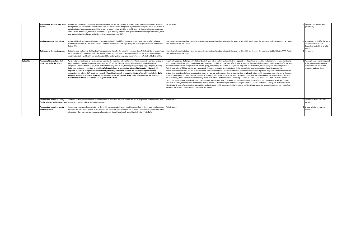| society          |                                                              | To the family, whanau, and wider Defined and considered in the same way as to the individual. Do not consider whether a family is privately funding a treatment<br>for a patient, and any loss of income from inability to work is not included (however, consider inability to work as a loss of usual<br>activities in the Need quadrant, and ability to work as a gain in usual activities in health benefit). Only certain direct healthcare<br>costs are included in CUA, specifically those that the govt. partially subsidise through the health sector budget. Otherwise, costs<br>and savings to family, whanau, and wider society are excluded from CUA.                                                                                                                                                                                                                                                                                                     | No discussion                                                                                                                                                                                                                                                                                                                                                                                                                                                                                                                                                                                                                                                                                                                                                                                                                                                                                                                                                                                                                                                                                                                                                                                                                                                                                                                                                                                                                                                                                                                                                                                                                                                                                                                                                                                                                                                                                                                                                         | 1 Important to consider, ever<br>qualitatively.                                                                                  |
|------------------|--------------------------------------------------------------|------------------------------------------------------------------------------------------------------------------------------------------------------------------------------------------------------------------------------------------------------------------------------------------------------------------------------------------------------------------------------------------------------------------------------------------------------------------------------------------------------------------------------------------------------------------------------------------------------------------------------------------------------------------------------------------------------------------------------------------------------------------------------------------------------------------------------------------------------------------------------------------------------------------------------------------------------------------------|-----------------------------------------------------------------------------------------------------------------------------------------------------------------------------------------------------------------------------------------------------------------------------------------------------------------------------------------------------------------------------------------------------------------------------------------------------------------------------------------------------------------------------------------------------------------------------------------------------------------------------------------------------------------------------------------------------------------------------------------------------------------------------------------------------------------------------------------------------------------------------------------------------------------------------------------------------------------------------------------------------------------------------------------------------------------------------------------------------------------------------------------------------------------------------------------------------------------------------------------------------------------------------------------------------------------------------------------------------------------------------------------------------------------------------------------------------------------------------------------------------------------------------------------------------------------------------------------------------------------------------------------------------------------------------------------------------------------------------------------------------------------------------------------------------------------------------------------------------------------------------------------------------------------------------------------------------------------------|----------------------------------------------------------------------------------------------------------------------------------|
|                  | To pharmaceutical expenditure                                | How would funding the proposal impact pharma expenditure? Would fund it result in savings from switching from already<br>funded pharmaceuticals? Net effect. Covers Combined Pharmaceutical Budget (CPB) and both hospital medicines and devices.<br>Enters CUA.                                                                                                                                                                                                                                                                                                                                                                                                                                                                                                                                                                                                                                                                                                       | Interestingly, the estimated savings to the expenditure over time have been discounted at a rate of 8%, which is well above the recommended 3.5% in the PFPA. This in<br>turn underestimates the savings.                                                                                                                                                                                                                                                                                                                                                                                                                                                                                                                                                                                                                                                                                                                                                                                                                                                                                                                                                                                                                                                                                                                                                                                                                                                                                                                                                                                                                                                                                                                                                                                                                                                                                                                                                             | 1 No reason provided for the use of<br>a different discount rate.<br>Discussion needed if for a valid<br>reason.                 |
|                  | To the rest of the health system                             | Potential costs and savings that funding the proposal may have for the rest of the health system. Net effect. Not to be confused<br>with health benefit consequences for the system. Defines health system as being Vote Health funding where that funding is<br>enabling the delivery of health services. Includes DHBs, and any other services which are funded via Vote Health. Enters CUA.                                                                                                                                                                                                                                                                                                                                                                                                                                                                                                                                                                         | Interestingly, the estimated savings to the expenditure over time have been discounted at a rate of 8%, which is well above the recommended 3.5% in the PFPA. This in<br>turn underestimates the savings.                                                                                                                                                                                                                                                                                                                                                                                                                                                                                                                                                                                                                                                                                                                                                                                                                                                                                                                                                                                                                                                                                                                                                                                                                                                                                                                                                                                                                                                                                                                                                                                                                                                                                                                                                             | 1 See above.                                                                                                                     |
| Suitability      | Features of the medicine that<br>impact on use by the person | What features may impact use by the person receiving the medicine? Is it registered for the disease or disorder that funding is<br>being sought for? Includes issues that may make use difficult, less effective, or dissuade or prevent people from using it<br>altogether. Can include size, shape, taste, method of delivery, ease of use, time required, packaging, supporting info, training.<br>Subgroups particularly important to consider. While this is likely to be reported with qualitative data, evidence is still<br>required. If possible, compare with the suitability of existing treatments to show the size of the improvement or<br>worsening. Can affect a CUA result, but indirectly. If significant enough to impact health benefits, will be included in CUA.<br>Common example is when cost-effectiveness depends on the assumptions made about adherence and the costs and<br>benefits and likelihood of an adherence programme affect use. | In particular, possible challenges with the brand switch were raised and mitigating initiatives proposed, but these failed to consider implications for or opportunities to<br>address Māori health and equity. Venlafaxine was recognised as a difficult brand switch for a range of reasons. These included the large number of people affected, the<br>assumed "vulnerable and change resistant" patient group, and the high proportion of people with long-term use. In addition, brand loyalty and increased pill burden<br>(with the delisting of 225mg tablets) were also raised. Suggested strategies to mitigate these challenges included an implementation plan with appropriate<br>communication for patients and health professionals; a brand switch fee for pharmacists to assist with the increased support patients may need with the brand switch;<br>and an alternative brand allowance clause that would allow a few patients more time to transition to a new brand. Maori health was not considered in any of these e.g.<br>was there a higher proportion of Māori on Efexor or 225mg tablets? Importantly, Māori health was not considered in any recommended strategies to assist with the<br>brand switch e.g. there was a missed opportunity in communication with the sector on addressing inequities in access to venlafaxine for Mãori. We also note that the<br>minutes of the PHARMAC evaluation committee state with regard to FFC that, "particular emphasis will be given to those aspects of Tender Bids which demonstrate<br>"health outcomes", and those aspects of Tender Bids which demonstrate the impact on the "funding provided" for pharmaceuticals". This suggests that need (where<br>Mäori health is located) may be given less weight than funding and health outcomes. Finally, there was no Mäori health expertise required in the member roles of the<br>PHARMAC evaluation committee that considered this tender. | 3 Thorough consideration required<br>of the wider equity issues that<br>surround mental health and<br>access to health services. |
|                  | Features that impact on use by                               | Are there certain features of the medicine which could impact on health outcomes if it has to be given by someone other than<br>family, whanau, and wider society the patient? Same as above about entering CUA.                                                                                                                                                                                                                                                                                                                                                                                                                                                                                                                                                                                                                                                                                                                                                       | Not discussed                                                                                                                                                                                                                                                                                                                                                                                                                                                                                                                                                                                                                                                                                                                                                                                                                                                                                                                                                                                                                                                                                                                                                                                                                                                                                                                                                                                                                                                                                                                                                                                                                                                                                                                                                                                                                                                                                                                                                         | 1 Unclear what was previously<br>provided.                                                                                       |
| health workforce | Features that impact on use by                               | Considering instances where members of the health workforce administer a medicine or medical device to a person. Considers<br>how easy it is for a health worker to use, how likely it is a health worker could make an error. Could even include features which<br>dissuade workers from using a product at all even though it could be clinically beneficial. Indirectly affects CUA.                                                                                                                                                                                                                                                                                                                                                                                                                                                                                                                                                                                | Not discussed.                                                                                                                                                                                                                                                                                                                                                                                                                                                                                                                                                                                                                                                                                                                                                                                                                                                                                                                                                                                                                                                                                                                                                                                                                                                                                                                                                                                                                                                                                                                                                                                                                                                                                                                                                                                                                                                                                                                                                        | 1 Unclear what was previously<br>provided.                                                                                       |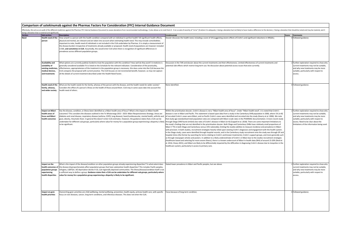| Comparison of ustekinumab against the Pharmac Factors For Consideration (FFC) Internal Guidance Document |
|----------------------------------------------------------------------------------------------------------|
|----------------------------------------------------------------------------------------------------------|

| Effectively, this acts as an audit of the different medicines against the Pharmac FFC Internal Guidance Document to assess deviations from recommended methodology. It also allows us to rank from 0-3 on a scale of severity<br>eing a deviation that is material and significant). |                                                                                                                                                                                                                                                                                                                                                                                                                                                                                                                                                                                                                                                                                                          |                                                                                                                                                                                                                                                                                                                                                                                                                                                                                                                                                                                                                                                                                                                                                                                                                                                                                                                                                                                                                                                                                                                                                                                                                                                                                                                                                                                                                                                                                                                                                                                                                                                                                                                                                                                                                                                                                                                                                                                                                              |       |                                                                                                                                                                                                                                                         |  |  |  |  |  |
|--------------------------------------------------------------------------------------------------------------------------------------------------------------------------------------------------------------------------------------------------------------------------------------|----------------------------------------------------------------------------------------------------------------------------------------------------------------------------------------------------------------------------------------------------------------------------------------------------------------------------------------------------------------------------------------------------------------------------------------------------------------------------------------------------------------------------------------------------------------------------------------------------------------------------------------------------------------------------------------------------------|------------------------------------------------------------------------------------------------------------------------------------------------------------------------------------------------------------------------------------------------------------------------------------------------------------------------------------------------------------------------------------------------------------------------------------------------------------------------------------------------------------------------------------------------------------------------------------------------------------------------------------------------------------------------------------------------------------------------------------------------------------------------------------------------------------------------------------------------------------------------------------------------------------------------------------------------------------------------------------------------------------------------------------------------------------------------------------------------------------------------------------------------------------------------------------------------------------------------------------------------------------------------------------------------------------------------------------------------------------------------------------------------------------------------------------------------------------------------------------------------------------------------------------------------------------------------------------------------------------------------------------------------------------------------------------------------------------------------------------------------------------------------------------------------------------------------------------------------------------------------------------------------------------------------------------------------------------------------------------------------------------------------------|-------|---------------------------------------------------------------------------------------------------------------------------------------------------------------------------------------------------------------------------------------------------------|--|--|--|--|--|
| <b>Sub-section</b>                                                                                                                                                                                                                                                                   | <b>Description</b>                                                                                                                                                                                                                                                                                                                                                                                                                                                                                                                                                                                                                                                                                       | <b>Ustekinumab</b>                                                                                                                                                                                                                                                                                                                                                                                                                                                                                                                                                                                                                                                                                                                                                                                                                                                                                                                                                                                                                                                                                                                                                                                                                                                                                                                                                                                                                                                                                                                                                                                                                                                                                                                                                                                                                                                                                                                                                                                                           | Score | <b>Comments</b>                                                                                                                                                                                                                                         |  |  |  |  |  |
| Health need of the<br>person                                                                                                                                                                                                                                                         | How unwell is a person with the health condition compared with an individual in perfect health? All significant health effects,<br>physical and mental, are relevant and are taken into account when estimating health need. This may include comorbidities.<br>Important to note, health need of individuals is not included in the CUA undertaken by Pharmac. It is simply a measurement of<br>the disease burden irrespective of treatments already available or proposed. Health need of populations are however included<br>in BIA, and sometimes in CUA. Assumedly, this would enter CUA when there is recognition of significant differences in<br>prevalence across different population groups. | Dossier discusses the health need, including a score of 19 (suggesting severe effects of Crohn's and significant reductions in HRQOL).                                                                                                                                                                                                                                                                                                                                                                                                                                                                                                                                                                                                                                                                                                                                                                                                                                                                                                                                                                                                                                                                                                                                                                                                                                                                                                                                                                                                                                                                                                                                                                                                                                                                                                                                                                                                                                                                                       |       | Followed guidance.                                                                                                                                                                                                                                      |  |  |  |  |  |
| <b>Availability and</b><br>suitability of<br>existing medicines<br>medical devices.<br>and treatments                                                                                                                                                                                | What options are currently publicly funded to treat the population with this condition? How well do they work? A medicine is<br>generally considered available if it is listed on the Schedule for the relevant indication. Consideration of the practicality,<br>effectiveness, appropriateness of the treatment in the population group is necessary. this does come into the CUA because the<br>CUA compares the proposal with current practice. The CUA focuses on net incremental benefit, however, so may not capture<br>all the details of current treatment described under the Health Need Factor.                                                                                              | Discussion in the TAR and dossier about the current treatments and their effectiveness. Limited effectiveness of current treatments and<br>potential side effects which restrict long-term use. No discussion about potential access issues that exist currently.                                                                                                                                                                                                                                                                                                                                                                                                                                                                                                                                                                                                                                                                                                                                                                                                                                                                                                                                                                                                                                                                                                                                                                                                                                                                                                                                                                                                                                                                                                                                                                                                                                                                                                                                                            |       | Further exploration required to show why<br>current treatments may not be suitable,<br>and why new treatments may be more<br>suitable, particularly with respect to<br>access.                                                                          |  |  |  |  |  |
| <b>Health need of the</b><br>family, whanau,<br>and wider society                                                                                                                                                                                                                    | What are the health needs for the family, whanau of the person with the disease, and the health needs for wider society?<br>Considers the effect of a person's illness on the health of those around them. CUA may in some cases take into account the<br>health need of others.                                                                                                                                                                                                                                                                                                                                                                                                                         | None identified                                                                                                                                                                                                                                                                                                                                                                                                                                                                                                                                                                                                                                                                                                                                                                                                                                                                                                                                                                                                                                                                                                                                                                                                                                                                                                                                                                                                                                                                                                                                                                                                                                                                                                                                                                                                                                                                                                                                                                                                              |       | Followed guidance.                                                                                                                                                                                                                                      |  |  |  |  |  |
| Impact on Mäori<br>health areas of<br>focus and Mäori<br>health outcomes                                                                                                                                                                                                             | Has the disease, condition, or illness been identified as a Māori health area of focus? What is the impact on Māori health<br>outcomes? This considers the diseases outlined in the Te Whaioranga 2013 - 2023: Māori Responsiveness Strategy. Areas are<br>diabetes and renal disease, respiratory disease (asthma, COPD, lung disease), heart/cardiovascular, mental health, arthritis and<br>gout, obesity, rheumatic fever. In general this doesn't enter CUA estimates. However, the guidance states that a CUA can be<br>undertaken for different sub-groups, particularly where value for money for a population group experiencing a disparity is likely<br>to be significant.                    | Within the prioritisation dossier, Crohn's disease is not a "Māori health area of focus". Under "Māori health need", it is noted that Crohn's<br>disease is rare in Māori and Pacific. This statement is based upon data from a study in the Canterbury DHB population in 2006, where 1% (n=8)<br>of recruited Crohn's cases were Māori, and no Pacific Crohn's cases were identified and recruited into the study (Gearry et al. 2006). We note<br>that study age-standardised total population rates are compared with Māori crude rates in the PHARMAC documentation. A more recent study<br>through Otago DHB found similarly low rates of Crohn's disease in Māori (n=4) (Coppell et al. 2018). There are some important limitations to<br>the study's findings that are not identified in the prioritisation dossier. Both Otago and Canterbury DHBs have relatively small proportions of<br>Mäori (~7% in both Otago and Canterbury versus 15% nationally), limiting the studies abilities to measure incidence and prevalence in Mäori<br>with precision. In both studies, recruitment strategies heavily relied upon existing Crohn's diagnoses and engagement with the health system.<br>In the Otago study, cases were identified through hospital records, and in the Canterbury study recruitment onto the study was through GP and<br>hospital clinics (the former by searching for terms relating to Crohn's and known treatments), Crohn's support groups, and more generally such<br>as through newspaper articles and posters. In addition to a likely underestimate of Crohn's in Māori due to the studies recruitment strategies<br>(healthcare based and selecting for more severe illness), there is a known undercount of Māori in health data (NHI) of around 15-20% (Reid et<br>al. 2016; Cleary 2021), and Māori are likely to be differentially impacted by the difficulties in diagnosing Crohn's disease due to inequities in the<br>healthcare system, particularly in access to primary care. |       | Further exploration required to show why<br>current treatments may not be suitable,<br>and why new treatments may be more<br>suitable, particularly with respect to<br>access. Need to be clear about the<br>limitations of the information being used. |  |  |  |  |  |
| Impact on the<br>health outcomes of<br>population groups<br>experiencing<br>health disparities                                                                                                                                                                                       | What is the impact of the disease/condition on other population groups already experiencing disparities? To what extent does<br>the disease disproportionately affect population groups that have substantive health disparities? This includes Pacific peoples,<br>efugees, LGBTQI+, NZ deprivation deciles 9-10, sub-regionally deprived communities. The illness/disease/condition itself is not<br>sufficient way to define a group. Guidance states that a CUA can be undertaken for different sub-groups, particularly where<br>value for money for a population group experiencing a disparity is likely to be significant.                                                                       | Stated lower prevalence in Māori and Pacific peoples, but see above                                                                                                                                                                                                                                                                                                                                                                                                                                                                                                                                                                                                                                                                                                                                                                                                                                                                                                                                                                                                                                                                                                                                                                                                                                                                                                                                                                                                                                                                                                                                                                                                                                                                                                                                                                                                                                                                                                                                                          |       | Further exploration required to show why<br>current treatments may not be suitable,<br>and why new treatments may be more<br>suitable, particularly with respect to<br>access.                                                                          |  |  |  |  |  |
| Impact on govt.<br>health priorities                                                                                                                                                                                                                                                 | Overarching govt. priorities are child wellbeing, mental wellbeing, prevention, health equity, primary health care, with specific<br>ocus on rare diseases, cancer, long-term conditions, and infectious diseases. This does not enter the CUA.                                                                                                                                                                                                                                                                                                                                                                                                                                                          | Focus because of long-term condition.                                                                                                                                                                                                                                                                                                                                                                                                                                                                                                                                                                                                                                                                                                                                                                                                                                                                                                                                                                                                                                                                                                                                                                                                                                                                                                                                                                                                                                                                                                                                                                                                                                                                                                                                                                                                                                                                                                                                                                                        |       | 0 Followed guidance.                                                                                                                                                                                                                                    |  |  |  |  |  |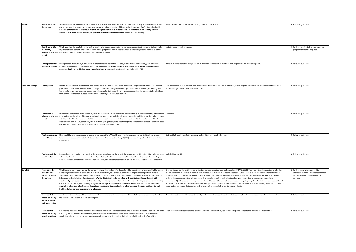| <b>Benefit</b>           | <b>Health benefit to</b>                                                        | What would be the health benefits or losses to the person who would receive the medicine? Looking at the net benefits over<br>Health benefits discussed in PTAC papers, based off clinical trial.                                                                                                                                                                                                                                                                                                                                                                                                                                                                                                                                                                                                                                                                                                                                                                      |                                                                                                                                                                                                                                                                                                                                                                                                                                                                                                                                                                                                                                                                                                                                                                                                                                                                                                                                                                                                    | 0 Followed guidance.                                                                                                             |
|--------------------------|---------------------------------------------------------------------------------|------------------------------------------------------------------------------------------------------------------------------------------------------------------------------------------------------------------------------------------------------------------------------------------------------------------------------------------------------------------------------------------------------------------------------------------------------------------------------------------------------------------------------------------------------------------------------------------------------------------------------------------------------------------------------------------------------------------------------------------------------------------------------------------------------------------------------------------------------------------------------------------------------------------------------------------------------------------------|----------------------------------------------------------------------------------------------------------------------------------------------------------------------------------------------------------------------------------------------------------------------------------------------------------------------------------------------------------------------------------------------------------------------------------------------------------------------------------------------------------------------------------------------------------------------------------------------------------------------------------------------------------------------------------------------------------------------------------------------------------------------------------------------------------------------------------------------------------------------------------------------------------------------------------------------------------------------------------------------------|----------------------------------------------------------------------------------------------------------------------------------|
|                          | the person                                                                      | and above what is achieved by current treatments, including extension of life as well as improved HRQOL. As well as health<br>benefits, potential losses as a result of the funding decision should be considered. This includes harm done by adverse<br>effects as well as no longer providing a gain that current treatment delivered. Enters the CUA directly.                                                                                                                                                                                                                                                                                                                                                                                                                                                                                                                                                                                                      |                                                                                                                                                                                                                                                                                                                                                                                                                                                                                                                                                                                                                                                                                                                                                                                                                                                                                                                                                                                                    |                                                                                                                                  |
|                          | <b>Health benefit to</b><br>the family,<br>whanau, and wider<br>society         | What would be the health benefits for the family, whanau, or wider society of the person receiving treatment? Only clinically<br>significant health benefits should be counted here - judgement required as to what is clinically significant. Benefits to others<br>not usually counted in CUA, unless vaccines and herd immunity.                                                                                                                                                                                                                                                                                                                                                                                                                                                                                                                                                                                                                                    | Not discussed or well captured.                                                                                                                                                                                                                                                                                                                                                                                                                                                                                                                                                                                                                                                                                                                                                                                                                                                                                                                                                                    | 1 Further insight into the care burden of<br>people with Crohn's required.                                                       |
|                          | <b>Consequences for</b><br>the health system                                    | If the proposal was funded, what would be the consequences for the health system? Does it relate to any govt. priorities?<br>Includes relieving or increasing pressure on the health system. Flow-on effects may be complicated and their perceived<br>presence should be justified or made clear that they are hypothetical. Generally not included in CUA.                                                                                                                                                                                                                                                                                                                                                                                                                                                                                                                                                                                                           | Positive impacts identified likely because of different administration method - reduce pressure on infusion capacity.                                                                                                                                                                                                                                                                                                                                                                                                                                                                                                                                                                                                                                                                                                                                                                                                                                                                              | 0 Followed guidance.                                                                                                             |
| <b>Costs and savings</b> | To the person                                                                   | What would the health-related costs and savings be to the person who would be treated? Regardless of whether the patient<br>pays it or it is subsidised by Vote Health. Change in costs and savings over status quo. May include GP visits, dispensing fees,<br>travel costs, co-payments, part charges, care in home, etc. CUA generally only analyses costs that the govt. partially subsidises<br>through the health sector budget. Private costs and savings are excluded from CUA.                                                                                                                                                                                                                                                                                                                                                                                                                                                                                | May be some savings to patients and their families if it reduces the use of infliximab, which require patients to travel to hospital for infusion.<br>Private savings, therefore excluded from CUA.                                                                                                                                                                                                                                                                                                                                                                                                                                                                                                                                                                                                                                                                                                                                                                                                | 0 Followed guidance.                                                                                                             |
|                          | To the family.<br>whanau, and wider<br>society                                  | Defined and considered in the same way as to the individual. Do not consider whether a family is privately funding a treatment<br>for a patient, and any loss of income from inability to work is not included (however, consider inability to work as a loss of usual<br>activities in the Need quadrant, and ability to work as a gain in usual activities in health benefit). Only certain direct healthcare<br>costs are included in CUA, specifically those that the govt. partially subsidise through the health sector budget. Otherwise, costs<br>and savings to family, whanau, and wider society are excluded from CUA.                                                                                                                                                                                                                                                                                                                                      | See above                                                                                                                                                                                                                                                                                                                                                                                                                                                                                                                                                                                                                                                                                                                                                                                                                                                                                                                                                                                          | 0 Followed guidance.                                                                                                             |
|                          | To pharmaceutical<br>expenditure                                                | How would funding the proposal impact pharma expenditure? Would fund it result in savings from switching from already<br>unded pharmaceuticals? Net effect. Covers Combined Pharmaceutical Budget (CPB) and both hospital medicines and devices.<br>Enters CUA.                                                                                                                                                                                                                                                                                                                                                                                                                                                                                                                                                                                                                                                                                                        | Outlined (although redacted); unclear whether this is the net effect or not.                                                                                                                                                                                                                                                                                                                                                                                                                                                                                                                                                                                                                                                                                                                                                                                                                                                                                                                       | 0 Followed guidance.                                                                                                             |
|                          | To the rest of the<br>health system                                             | Potential costs and savings that funding the proposal may have for the rest of the health system. Net effect. Not to be confused<br>with health benefit consequences for the system. Defines health system as being Vote Health funding where that funding is<br>enabling the delivery of health services. Includes DHBs, and any other services which are funded via Vote Health. Enters CUA                                                                                                                                                                                                                                                                                                                                                                                                                                                                                                                                                                          | Included in the CUA.                                                                                                                                                                                                                                                                                                                                                                                                                                                                                                                                                                                                                                                                                                                                                                                                                                                                                                                                                                               | 0 Followed guidance.                                                                                                             |
| <b>Suitability</b>       | <b>Features of the</b><br>medicine that<br>impact on use by<br>the person       | What features may impact use by the person receiving the medicine? Is it registered for the disease or disorder that funding is<br>being sought for? Includes issues that may make use difficult, less effective, or dissuade or prevent people from using it<br>altogether. Can include size, shape, taste, method of delivery, ease of use, time required, packaging, supporting info, training.<br>Subgroups particularly important to consider. While this is likely to be reported with qualitative data, evidence is still<br>required. If possible, compare with the suitability of existing treatments to show the size of the improvement or worsening.<br>Can affect a CUA result, but indirectly. If significant enough to impact health benefits, will be included in CUA. Common<br>example is when cost-effectiveness depends on the assumptions made about adherence and the costs and benefits and<br>likelihood of an adherence programme affect use. | Crohn's disease can be a difficult condition to diagnose, and diagnosis is often delayed (BPAC, 2021). This then raises the question of whether<br>the low incidence of Crohn's in Māori is real, or a result of barriers in access to diagnosis. Further to this, there is no assessment of whether<br>Māori with Crohn's disease are receiving best practice care and have had equitable access to the first- and second-line treatments required in<br>order to then access ustekinumab as a second- or third-line treatment. If Māori are known or suspected to be underdiagnosed and<br>ndertreated (with existing options), the model should account for this rather than assume ongoing inequities. While it may be reasonable not<br>o model a treatment for Crohn's disease specifically for Māori given it is identified as a rare condition (discussed below), there are a number of<br>nportant equity issues that required further exploration in the TAR and prioritisation dossier. | 2 Further exploration required to<br>understand Crohn's prevalence in Mäori<br>and the ability to access diagnostic<br>services. |
|                          | <b>Features that</b><br>mpact on use by<br>family, whanau,<br>and wider society | Are there certain features of the medicine which could impact on health outcomes if it has to be given by someone other than<br>the patient? Same as above about entering CUA.                                                                                                                                                                                                                                                                                                                                                                                                                                                                                                                                                                                                                                                                                                                                                                                         | Potentially better suited for patients, family, and whanau because of way it is administered (do not have to access hospital as frequently).                                                                                                                                                                                                                                                                                                                                                                                                                                                                                                                                                                                                                                                                                                                                                                                                                                                       | 0 Followed guidance.                                                                                                             |
|                          | <b>Features that</b><br>impact on use by<br>health workforce                    | onsidering instances where members of the health workforce administer a medicine or medical device to a person. Considers<br>now easy it is for a health worker to use, how likely it is a health worker could make an error. Could even include features<br>which dissuade workers from using a product at all even though it could be clinically beneficial. Indirectly affects CUA.                                                                                                                                                                                                                                                                                                                                                                                                                                                                                                                                                                                 | Likely reduction in hospitalisations, clinician visits for administration, less infusion required compared to infliximab. Not quantified.                                                                                                                                                                                                                                                                                                                                                                                                                                                                                                                                                                                                                                                                                                                                                                                                                                                          | 0 Followed guidance.                                                                                                             |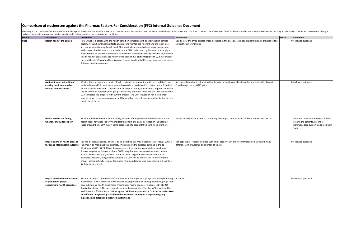Effectively, this acts as an audit of the different medicines against the Pharmac FFC Internal Guidance Document to assess deviations from recommended methodology. It also allows us to rank from 0-3 on a scale of severity

|      |                                                                                           | deviation that should be noted and may be material, and 3 being a deviation that is material and significant).<br>Section Section Sub-section Sub-section                                                                                                                                                                                                                                                                                                                                                                                                                                                                                                                                                                    |                                                                                                                                                     |              |                                                                                                                            |
|------|-------------------------------------------------------------------------------------------|------------------------------------------------------------------------------------------------------------------------------------------------------------------------------------------------------------------------------------------------------------------------------------------------------------------------------------------------------------------------------------------------------------------------------------------------------------------------------------------------------------------------------------------------------------------------------------------------------------------------------------------------------------------------------------------------------------------------------|-----------------------------------------------------------------------------------------------------------------------------------------------------|--------------|----------------------------------------------------------------------------------------------------------------------------|
|      |                                                                                           |                                                                                                                                                                                                                                                                                                                                                                                                                                                                                                                                                                                                                                                                                                                              | <b>Nusinersen</b>                                                                                                                                   | <b>Score</b> | <b>Comments</b>                                                                                                            |
| Need | Health need of the person                                                                 | How unwell is a person with the health condition compared with an individual in perfect<br>health? All significant health effects, physical and mental, are relevant and are taken into<br>account when estimating health need. This may include comorbidities. Important to note,<br>health need of individuals is not included in the CUA undertaken by Pharmac. It is simply a<br>measurement of the disease burden irrespective of treatments already available or proposed.<br>Health need of populations are however included in BIA, and sometimes in CUA. Assumedly,<br>this would enter CUA when there is recognition of significant differences in prevalence across<br>different population groups.               | Need across the three disease types discussed in the dossier. Talks about distribution of prevalence too<br>across the different types.             |              | 0 Followed guidance.                                                                                                       |
|      | Availability and suitability of<br>existing medicines, medical<br>devices, and treatments | What options are currently publicly funded to treat the population with this condition? How<br>well do they work? A medicine is generally considered available if it is listed on the Schedule<br>for the relevant indication. Consideration of the practicality, effectiveness, appropriateness of<br>the treatment in the population group is necessary. this does come into the CUA because the<br>CUA compares the proposal with current practice. The CUA focuses on net incremental<br>benefit, however, so may not capture all the details of current treatment described under the<br>Health Need Factor.                                                                                                            | No currently funded treatment, reliant heavily on healthcare like physiotherapy. Indirectly shown in<br>CUA through the big QALY gains.             |              | 0 Followed guidance.                                                                                                       |
|      | Health need of the family,<br>whanau, and wider society                                   | What are the health needs for the family, whanau of the person with the disease, and the<br>health needs for wider society? Considers the effect of a person's illness on the health of<br>those around them. CUA may in some cases take into account the health need of others.                                                                                                                                                                                                                                                                                                                                                                                                                                             | Reliant heavily on carers etc. - current negative impact on the health of those around. Not in CUA.                                                 |              | Potential to explore the need of those<br>around the patients given the<br>significant care burden associated with<br>SMA. |
|      | Impact on Māori health areas of                                                           | Has the disease, condition, or illness been identified as a Māori health area of focus? What is<br>focus and Maori health outcomes the impact on Maori health outcomes? This considers the diseases outlined in the Te<br>Whaioranga 2013 - 2023: Māori Responsiveness Strategy. Areas are diabetes and renal<br>disease, respiratory disease (asthma, COPD, lung disease), heart/cardiovascular, mental<br>health, arthritis and gout, obesity, rheumatic fever. In general this doesn't enter CUA<br>estimates. However, the guidance states that a CUA can be undertaken for different sub-<br>groups, particularly where value for money for a population group experiencing a disparity is<br>likely to be significant. | Not applicable - reasonable since such small data on SMA and no information on across ethnicity<br>differences in prevalence and burden of illness. |              | 0 Followed guidance.                                                                                                       |
|      | Impact on the health outcomes<br>of population groups<br>experiencing health disparities  | What is the impact of the disease/condition on other population groups already experiencing<br>disparities? To what extent does the disease disproportionately affect population groups that<br>have substantive health disparities? This includes Pacific peoples, refugees, LGBTQI+, NZ<br>deprivation deciles 9-10, sub-regionally deprived communities. The illness/disease/condition<br>itself is not a sufficient way to define a group. Guidance states that a CUA can be undertaken<br>for different sub-groups, particularly where value for money for a population group<br>experiencing a disparity is likely to be significant.                                                                                  | As above.                                                                                                                                           |              | 0 Followed guidance.                                                                                                       |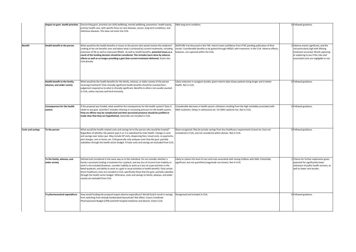|                          | mpact on govt. health priorities                                                                                                                                                                                                                                                                                                                                                                                                                                                                                                                                                                                                                                                                                                                                                                | Overarching govt. priorities are child wellbeing, mental wellbeing, prevention, health equity,<br>primary health care, with specific focus on rare diseases, cancer, long-term conditions, and<br>infectious diseases. This does not enter the CUA.                                                                                                                                                                                                                                                                                                                                                                                     | SMA long-term condition.                                                                                                                                                               |                                                                                                                                                                                                        | 0 Followed guidance.                                                                                                                                   |
|--------------------------|-------------------------------------------------------------------------------------------------------------------------------------------------------------------------------------------------------------------------------------------------------------------------------------------------------------------------------------------------------------------------------------------------------------------------------------------------------------------------------------------------------------------------------------------------------------------------------------------------------------------------------------------------------------------------------------------------------------------------------------------------------------------------------------------------|-----------------------------------------------------------------------------------------------------------------------------------------------------------------------------------------------------------------------------------------------------------------------------------------------------------------------------------------------------------------------------------------------------------------------------------------------------------------------------------------------------------------------------------------------------------------------------------------------------------------------------------------|----------------------------------------------------------------------------------------------------------------------------------------------------------------------------------------|--------------------------------------------------------------------------------------------------------------------------------------------------------------------------------------------------------|--------------------------------------------------------------------------------------------------------------------------------------------------------|
| <b>Benefit</b>           | Health benefit to the person<br>What would be the health benefits or losses to the person who would receive the medicine?<br>NURTURE trial discussed in the TAR. Interim level confidence from PTAC pending publication of final<br>Looking at the net benefits over and above what is achieved by current treatments, including<br>results. Considerable benefits to be gained through HRQOL with treatment. In the CUA. Adverse effects,<br>extension of life as well as improved HRQOL. As well as health benefits, potential losses as a<br>however, not captured within the CUA.<br>result of the funding decision should be considered. This includes harm done by adverse<br>effects as well as no longer providing a gain that current treatment delivered. Enters the<br>CUA directly. |                                                                                                                                                                                                                                                                                                                                                                                                                                                                                                                                                                                                                                         |                                                                                                                                                                                        | 2 Adverse events significant, and the<br>risk particularly high with lifelong<br>treatment assumed. Worth capturing<br>or exploring to see if the risks and<br>associated costs are negligible or not. |                                                                                                                                                        |
|                          | Health benefit to the family,<br>What would be the health benefits for the family, whanau, or wider society of the person<br>whanau, and wider society<br>receiving treatment? Only clinically significant health benefits should be counted here -<br>judgement required as to what is clinically significant. Benefits to others not usually counted<br>in CUA, unless vaccines and herd immunity.                                                                                                                                                                                                                                                                                                                                                                                            |                                                                                                                                                                                                                                                                                                                                                                                                                                                                                                                                                                                                                                         | Likely reduction in caregiver burden, given interim data shows patients living longer and in better<br>health. Not in CUA.                                                             |                                                                                                                                                                                                        | 0 Followed guidance.                                                                                                                                   |
|                          | Consequences for the health<br>system                                                                                                                                                                                                                                                                                                                                                                                                                                                                                                                                                                                                                                                                                                                                                           | If the proposal was funded, what would be the consequences for the health system? Does it<br>relate to any govt. priorities? Includes relieving or increasing pressure on the health system.<br>Flow-on effects may be complicated and their perceived presence should be justified or<br>made clear that they are hypothetical. Generally not included in CUA.                                                                                                                                                                                                                                                                         | Considerable decrease in health system utilisation resulting from the high morbidity associated with<br>SMA II patients. Delays in admissions etc. for SMA I patients too. Not in CUA. |                                                                                                                                                                                                        | 0 Followed guidance.                                                                                                                                   |
| <b>Costs and savings</b> | To the person<br>What would the health-related costs and savings be to the person who would be treated?<br>Regardless of whether the patient pays it or it is subsidised by Vote Health. Change in costs<br>and savings over status quo. May include GP visits, dispensing fees, travel costs, co-payments,<br>part charges, care in home, etc. CUA generally only analyses costs that the govt. partially<br>subsidises through the health sector budget. Private costs and savings are excluded from CUA.                                                                                                                                                                                                                                                                                     |                                                                                                                                                                                                                                                                                                                                                                                                                                                                                                                                                                                                                                         | None recognised. May be private savings from less healthcare requirements (travel etc.) but not<br>considered in CUA, and not considered within dossier. Not in CUA.                   |                                                                                                                                                                                                        | 0 Followed guidance.                                                                                                                                   |
|                          | To the family, whanau, and<br>wider society                                                                                                                                                                                                                                                                                                                                                                                                                                                                                                                                                                                                                                                                                                                                                     | Defined and considered in the same way as to the individual. Do not consider whether a<br>family is privately funding a treatment for a patient, and any loss of income from inability to<br>work is not included (however, consider inability to work as a loss of usual activities in the<br>Need quadrant, and ability to work as a gain in usual activities in health benefit). Only certain<br>direct healthcare costs are included in CUA, specifically those that the govt. partially subsidise<br>through the health sector budget. Otherwise, costs and savings to family, whanau, and wider<br>society are excluded from CUA. | Likely to reduce the level of care and costs associated with raising children with SMA. Potentially<br>significant, but not quantified (magnitude not shown). Not in CUA.              |                                                                                                                                                                                                        | 1 Chance for further exploration given<br>potential for significantly lower<br>utilisation of public health services, as<br>well as lower care burden. |
|                          | To pharmaceutical expenditure                                                                                                                                                                                                                                                                                                                                                                                                                                                                                                                                                                                                                                                                                                                                                                   | How would funding the proposal impact pharma expenditure? Would fund it result in savings<br>from switching from already funded pharmaceuticals? Net effect. Covers Combined<br>Pharmaceutical Budget (CPB) and both hospital medicines and devices. Enters CUA.                                                                                                                                                                                                                                                                                                                                                                        | Recognised and included in CUA.                                                                                                                                                        |                                                                                                                                                                                                        | 0 Followed guidance.                                                                                                                                   |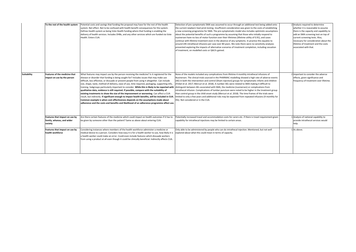|             | To the rest of the health system                                       | Potential costs and savings that funding the proposal may have for the rest of the health<br>system. Net effect. Not to be confused with health benefit consequences for the system.<br>Defines health system as being Vote Health funding where that funding is enabling the<br>delivery of health services. Includes DHBs, and any other services which are funded via Vote<br>Health. Enters CUA.                                                                                                                                                                                                                                                                                                                                                                                                                                                                     | Detection of pre-symptomatic SMA was assumed to occur through an additional test being added onto<br>the current newborn heel prick testing. Insufficient consideration was given to the costs of establishing<br>a new screening programme for SMA. The pre-symptomatic model also includes optimistic assumptions<br>about the potential benefits of such a programme by assuming that those who initially respond to<br>nusinersen have no loss of motor function over their lifetimes (lifetime utility of 0.91), and cases<br>continue with lifetime treatment even in the absence of any symptoms. In practice this equates to<br>around 245 intrathecal infusions per case over 80 years. We note there were no sensitivity analyses<br>presented exploring the impacts of alternative scenarios of treatment completion, including cessation<br>of treatment, on modelled costs or QALYs gained.                                                                                      | 2 Analysis required to determine<br>whether it is reasonable to assume<br>there is the capacity and capability to<br>add an SMA screening test on top of<br>current screening tests. Also,<br>necessary for consideration about the<br>lifetime of treatment and the costs<br>associated with that. |
|-------------|------------------------------------------------------------------------|--------------------------------------------------------------------------------------------------------------------------------------------------------------------------------------------------------------------------------------------------------------------------------------------------------------------------------------------------------------------------------------------------------------------------------------------------------------------------------------------------------------------------------------------------------------------------------------------------------------------------------------------------------------------------------------------------------------------------------------------------------------------------------------------------------------------------------------------------------------------------|-----------------------------------------------------------------------------------------------------------------------------------------------------------------------------------------------------------------------------------------------------------------------------------------------------------------------------------------------------------------------------------------------------------------------------------------------------------------------------------------------------------------------------------------------------------------------------------------------------------------------------------------------------------------------------------------------------------------------------------------------------------------------------------------------------------------------------------------------------------------------------------------------------------------------------------------------------------------------------------------------|-----------------------------------------------------------------------------------------------------------------------------------------------------------------------------------------------------------------------------------------------------------------------------------------------------|
| Suitability | <b>Features of the medicine that</b><br>impact on use by the person    | What features may impact use by the person receiving the medicine? Is it registered for the<br>disease or disorder that funding is being sought for? Includes issues that may make use<br>difficult, less effective, or dissuade or prevent people from using it altogether. Can include<br>size, shape, taste, method of delivery, ease of use, time required, packaging, supporting info,<br>qualitative data, evidence is still required. If possible, compare with the suitability of<br>existing treatments to show the size of the improvement or worsening. Can affect a CUA<br>result, but indirectly. If significant enough to impact health benefits, will be included in CUA.<br>Common example is when cost-effectiveness depends on the assumptions made about<br>adherence and the costs and benefits and likelihood of an adherence programme affect use. | None of the models included any complications from lifetime 4 monthly intrathecal infusions of<br>Nusinersen. The clinical trials sourced in the PHARMAC modelling showed a high rate of adverse events<br>(AE) in both the intervention and control (Sham injection) groups for symptomatic infants and children<br>(Finkel et al. 2017; Mercuri et al. 2018). A number AEs were related to SMA making it difficult to<br>training. Subgroups particularly important to consider. While this is likely to be reported with distinguish between AEs associated with SMA, the medicine (nusinersen) or complications from<br>intrathecal infusion. Complications of lumbar puncture were noted to be higher in the treatment group<br>than control group in the child onset study (Mercuri et al. 2018). The time frames of the trials were<br>limited to only a few years and additional risks may be expected from repeated infusions (4 monthly for<br>life). Not considered or in the CUA. | 2 Important to consider the adverse<br>effects, given significance and<br>frequency of treatment over lifetime.                                                                                                                                                                                     |
|             | Features that impact on use by<br>family, whanau, and wider<br>society | Are there certain features of the medicine which could impact on health outcomes if it has to<br>be given by someone other than the patient? Same as above about entering CUA.                                                                                                                                                                                                                                                                                                                                                                                                                                                                                                                                                                                                                                                                                           | Potentially increased travel and accommodation costs for carers etc. if there is travel requirement given<br>capability for intrathecal injections may be limited to certain areas.                                                                                                                                                                                                                                                                                                                                                                                                                                                                                                                                                                                                                                                                                                                                                                                                           | 1 Analysis of national capability to<br>provide intrathecal services would<br>help.                                                                                                                                                                                                                 |
|             | Features that impact on use by<br>health workforce                     | Considering instances where members of the health workforce administer a medicine or<br>medical device to a person. Considers how easy it is for a health worker to use, how likely it is<br>a health worker could make an error. Could even include features which dissuade workers<br>from using a product at all even though it could be clinically beneficial. Indirectly affects CUA.                                                                                                                                                                                                                                                                                                                                                                                                                                                                               | Only able to be administered by people who can do intrathecal injection. Mentioned, but not well<br>explored about what this could mean in terms of capacity.                                                                                                                                                                                                                                                                                                                                                                                                                                                                                                                                                                                                                                                                                                                                                                                                                                 | 1 As above.                                                                                                                                                                                                                                                                                         |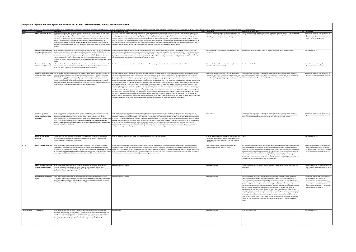|                                                                                        | Comparison of pembrolizumab against the Pharmac Factors For Consideration (FFC) Internal Guidance Document                                                                                                                                                                                                                                                                                                                                                                                                                                                                                                                                                                                                     |                                                                                                                                                                                                                                                                                                                                                                                                                                                                                                                                                                                                                                                                                                                                                                                                                                                                                                                                                                                                                                                                                                                                                                                                                                                                                                                                                                                                                                                                                                                                                                                                                                                                                                                                                                                                                                                                                                                                                                                                                                                                                                                                                                                                   |                                                                                                                                                                                                                                   |                                                                                                                                                                                                                                                                                                                                                                                                                                                                                                                                                                                                                                                                                                                                                                                                                                                                                                                                                                                                                                                                                                                                                                                                                                                                                                                 |                                                                                                                                                                                                                                                                                              |
|----------------------------------------------------------------------------------------|----------------------------------------------------------------------------------------------------------------------------------------------------------------------------------------------------------------------------------------------------------------------------------------------------------------------------------------------------------------------------------------------------------------------------------------------------------------------------------------------------------------------------------------------------------------------------------------------------------------------------------------------------------------------------------------------------------------|---------------------------------------------------------------------------------------------------------------------------------------------------------------------------------------------------------------------------------------------------------------------------------------------------------------------------------------------------------------------------------------------------------------------------------------------------------------------------------------------------------------------------------------------------------------------------------------------------------------------------------------------------------------------------------------------------------------------------------------------------------------------------------------------------------------------------------------------------------------------------------------------------------------------------------------------------------------------------------------------------------------------------------------------------------------------------------------------------------------------------------------------------------------------------------------------------------------------------------------------------------------------------------------------------------------------------------------------------------------------------------------------------------------------------------------------------------------------------------------------------------------------------------------------------------------------------------------------------------------------------------------------------------------------------------------------------------------------------------------------------------------------------------------------------------------------------------------------------------------------------------------------------------------------------------------------------------------------------------------------------------------------------------------------------------------------------------------------------------------------------------------------------------------------------------------------------|-----------------------------------------------------------------------------------------------------------------------------------------------------------------------------------------------------------------------------------|-----------------------------------------------------------------------------------------------------------------------------------------------------------------------------------------------------------------------------------------------------------------------------------------------------------------------------------------------------------------------------------------------------------------------------------------------------------------------------------------------------------------------------------------------------------------------------------------------------------------------------------------------------------------------------------------------------------------------------------------------------------------------------------------------------------------------------------------------------------------------------------------------------------------------------------------------------------------------------------------------------------------------------------------------------------------------------------------------------------------------------------------------------------------------------------------------------------------------------------------------------------------------------------------------------------------|----------------------------------------------------------------------------------------------------------------------------------------------------------------------------------------------------------------------------------------------------------------------------------------------|
|                                                                                        | nst the Pharmac FFC Internal Guidance Document to assess deviations from recomm                                                                                                                                                                                                                                                                                                                                                                                                                                                                                                                                                                                                                                | ended methodology. It also allows us to rank from 0 - 3 on a scale of severity of "error" (0 where it is adequate, 1 being a deviation but not likely to have made a difference to the decision, 2 being a deviation that shou                                                                                                                                                                                                                                                                                                                                                                                                                                                                                                                                                                                                                                                                                                                                                                                                                                                                                                                                                                                                                                                                                                                                                                                                                                                                                                                                                                                                                                                                                                                                                                                                                                                                                                                                                                                                                                                                                                                                                                    |                                                                                                                                                                                                                                   |                                                                                                                                                                                                                                                                                                                                                                                                                                                                                                                                                                                                                                                                                                                                                                                                                                                                                                                                                                                                                                                                                                                                                                                                                                                                                                                 |                                                                                                                                                                                                                                                                                              |
| Sub-section<br>alth need of the person                                                 | Description<br>low unwell is a person with the health condition compared with an individual in perfect health?<br>All significant health effects, physical and mental, are relevant and are taken into account when<br>estimating health need. This may include comorbidities. Important to note, health need of<br>ndividuals is not included in the CUA undertaken by Pharmac. It is simply a measurement of the<br>lisease burden irrespective of treatments already available or proposed. Health need of<br>opulations are however included in BIA, and sometimes in CUA. Assumedly, this would enter<br>CUA when there is recognition of significant differences in prevalence across different populati | Pembrolizumab (lung cancer)<br>Lung cancer recognised as a significant health issue for NZ. Health need score reported, 19 (severe). Does not provide a separate health need score for<br>äori, who have been recognised to have 2-4x higher prevalence of lung cancer. Health need score aggregated may understate the significant differen<br>eed for Mäori. Should and very well could be reflected in separate CUA for Mäori, but is not. Pembrolizumab has been shown to provide clinical<br>enefit in improved overall and progression-free survival regardless of PD-L1 level (including PD-L1 negative) (Paz Ares et al. 2018; Gandhi et al. 2018).<br>wever, within the TAR, as a method for reducing the fiscal burden of pembrolizumab, it was proposed to limited eligibility to those with high levels of<br>D-L1>50 (representing about 25-30% of the clinical trial populations) based upon some (but inconsistent) evidence of a greater survival benefit seen for<br>is group in overall survival (Paz Ares et al. 2018; Herbst et al. 2016) and progression free survival (Gandhi et al. 2018)                                                                                                                                                                                                                                                                                                                                                                                                                                                                                                                                                                                                                                                                                                                                                                                                                                                                                                                                                                                                                                                                                  | Score Comments<br>Separate analyses for Mãori, given recognised disparities<br>prevalence, would be beneficial to ensure health need<br>well captured and expressed in the findings                                               | Pembrolizumab (melanoma)<br>Health need described in dossier. PTAC/CaTSoP low priority recommendations. 7x higher incident<br>of melanoma in non-Mãori than Mãori, however Mãori more likely to get advanced disease.                                                                                                                                                                                                                                                                                                                                                                                                                                                                                                                                                                                                                                                                                                                                                                                                                                                                                                                                                                                                                                                                                           | Score Comments<br>sion about the clear differences in<br>valence/incidence would be beneficial<br>ot finding out how material this is, and<br>hat it means for the decision.                                                                                                                 |
| vailability and suitability of<br>xisting medicines, medical<br>evices, and treatments | Vhat options are currently publicly funded to treat the population with this condition? How well<br>lo they work? A medicine is generally considered available if it is listed on the Schedule for the<br>levant indication. Consideration of the practicality, effectiveness, appropriateness of the<br>atment in the population group is necessary. this does come into the CUA because the CUA<br>mpares the proposal with current practice. The CUA focuses on net incremental benefit,<br>wever, so may not capture all the details of current treatment described under the Health Ne<br>actor                                                                                                           | urrent treatments outlined in the TAR. In order to make any assessment of whether pembrolizumab is likely to improve the vast disparities in lung<br>ncer outcomes for Mäori, it is critical to understand whether Mäori would have equity in eligibility for this treatment. Within the provided docu<br>ere is no estimate of the number of Maori with metastatic NSCLC (EGRF and ALK negative) with and without the criterion of PB-L1>50, that might be<br>ligible for pembrolizumab under the proposed funding criteria. Therefore, while addressing an area of focus and high priority for Māori, we are unable<br>assess whether this treatment will provide equitable benefits for Māori.                                                                                                                                                                                                                                                                                                                                                                                                                                                                                                                                                                                                                                                                                                                                                                                                                                                                                                                                                                                                                                                                                                                                                                                                                                                                                                                                                                                                                                                                                                 | Understanding of eligibility and current access barriers<br>betirred                                                                                                                                                              | Alternatives for unresectable and metastatic melanoma discussed in prioritisation dossier                                                                                                                                                                                                                                                                                                                                                                                                                                                                                                                                                                                                                                                                                                                                                                                                                                                                                                                                                                                                                                                                                                                                                                                                                       | ollowed guidance                                                                                                                                                                                                                                                                             |
| Health need of the family,<br>nau, and wider socie                                     | Vhat are the health needs for the family, whanau of the person with the disease, and the health<br>eds for wider society? Considers the effect of a person's illness on the health of those around<br>em. CUA may in some cases take into account the health need of others.                                                                                                                                                                                                                                                                                                                                                                                                                                   | arer burden for caring for people with cancer "well documented" elsewhere, as stated in the prioritisation dossier. Not in the CUA.                                                                                                                                                                                                                                                                                                                                                                                                                                                                                                                                                                                                                                                                                                                                                                                                                                                                                                                                                                                                                                                                                                                                                                                                                                                                                                                                                                                                                                                                                                                                                                                                                                                                                                                                                                                                                                                                                                                                                                                                                                                               | Assumed to be well documented elsewhere, but not<br>luded in documents received.                                                                                                                                                  | lot discussed in the documents                                                                                                                                                                                                                                                                                                                                                                                                                                                                                                                                                                                                                                                                                                                                                                                                                                                                                                                                                                                                                                                                                                                                                                                                                                                                                  | ould be explored through literature on the<br>rden of cancer on carers et                                                                                                                                                                                                                    |
| Impact on Mãori health areas<br>of focus and Mäori health                              | Has the disease, condition, or illness been identified as a Maori health area of focus? What is the<br>npact on Mäori health outcomes? This considers the diseases outlined in the Te Whaioranga<br>2013 - 2023: Mäori Responsiveness Strategy. Areas are diabetes and renal disease, respiratory<br>sease (asthma, COPD, lung disease), heart/cardiovascular, mental health, arthritis and gout,<br>besity, rheumatic fever. In general this doesn't enter CUA estimates. However, the guidance<br>tates that a CUA can be undertaken for different sub-groups, particularly where value for mone<br>r a population group experiencing a disparity is likely to be significant.                               | The modelling drew on international trial data for the starting proportions of the population on different treatment regimes, and transitions to: further<br>eatments, supportive care and death. In addition, the main outcomes of overall survival and progression free survival for both the intervention arm<br>nbrolizumab) and the comparator arms of usual care come from trial data. There was no discussion provided on the relevance of these estimates in<br>New Zealand healthcare context for the New Zealand population, or for Maori specifically. New Zealand lung cancer survival rates are worse than a<br>nber of countries with comparable health systems (Lawrenson et al. 2018, Coleman et al. 2011). In addition, there are known disparities in lung cance<br>vival for Mäori overall, by stage, and of particular relevance to pembrolizumab. Mäori with distant disease are 30% more likely to die than non-Mäori<br>with the same stage), HR 1.298 (95%Cl 1.226-1.374) (Gurney et al. 2020). The worse survival in New Zealand, and for Maori, means that there is the<br>mab to achieve even greater benefits at the population level than demonstrated in clinical trials. The assumptions around canc<br>ential for pembro<br>vival in the model are important as sensitivity analyses indicated that the models were most sensitive to assumptions around overall survival and the<br>ost of pembrolizumab. The suggestion to restrict funding to PD-L1>50% is made without any information on the distribution of PD-L1 levels in Mäori to<br>nsure that such a requirement does not inequitably impact on access to this medication for Maori. Within the TAR it is acknowledged that PD-L1 testing<br>s an invasive procedure (requiring a tissue sample) and may be variably used by clinicians (estimated at 10%) if not required as a part of the special<br>suthority. There is no consideration of the impact of known inequities in access to and quality of healthcare for lung cancer for Mäori (Stevens et al. 2008:<br>e Aho o Te Kahu. 2021), on the likely rates of PD-L1 testing, and subsequent eligibility for pembrolizumab under this proposal | Exploration absolutely necessary for Mäori population<br>who differ significantly from the trial population and have<br>cognised disparities in health outcomes because of lung<br>scer. Separate CUA should have been undertaken | Recognised in the dossier that the age standardised incidence rate of melanoma (no mention of<br>late stage) is approx. 7x higher in non-Mäori than in Mäori, however like with most other cancers<br>Mäori have significantly higher risk of being diagnosed with more advanced disease                                                                                                                                                                                                                                                                                                                                                                                                                                                                                                                                                                                                                                                                                                                                                                                                                                                                                                                                                                                                                        | Discussion about the clear differences in<br>valence/incidence would be beneficial                                                                                                                                                                                                           |
| Impact on the health<br>tcomes of populatio<br>roups experiencing health<br>arities    | Vhat is the impact of the disease/condition on other population groups already experiencin<br>parities? To what extent does the disease disproportionately affect population groups that<br>ave substantive health disparities? This includes Pacific peoples, refugees, LGBTQI+, NZ<br>privation deciles 9-10, sub-regionally deprived communities. The illness/disease/condition<br>not a sufficient way to define a group. Guidance states that a CUA can be undertaken for<br>different sub-groups, particularly where value for money for a population group experiencing a<br>parity is likely to be significant.                                                                                        | .<br>The prioritisation dossier noted the major inequities in lung cancer registrations and deaths between Mäori compared to non-Mäori. However, no<br>-<br>formation on the epidemiology of the relevant types of lung cancer indicated for pembrolizumab is provided by ethnicity or considered for inequities,<br>imely NSCLC (squamous and non-squamous). The PHARMAC TAR notes that NS<br>Z data for 2015-2018 show that NSCLC comprise 70% of all lung cancers (Te Aho o Te Kahu. 2021), and this is slightly lower for Māori at 66%. In addition<br>ARMAC documentation fails to provide context in relation to access to care. For example, PHARMAC have previously noted that access to treatments<br>or cancers for Mäori is a particular area of concern, with Mäori 35% less likely to receive medicines for the treatment of cancers than non-Mäori<br>ljusted for age and disease burden) (Metcalf et al. 2018). Relevant to this, the modelling does not consider the potential to optimise equity within<br>sting treatment options or the impact of inequities in first line treatments when modelling pembrolizumab as a second line treatmen                                                                                                                                                                                                                                                                                                                                                                                                                                                                                                                                                                                                                                                                                                                                                                                                                                                                                                                                                                                                                                   | See above                                                                                                                                                                                                                         | ecognised in the dossier that the age standardised incidence rate of melanoma (no mention o<br>late stage) is approx. 7x higher in non-Mäori than in Mäori, however like with most other cancers,<br>Mäori have significantly higher risk of being diagnosed with more advanced disease                                                                                                                                                                                                                                                                                                                                                                                                                                                                                                                                                                                                                                                                                                                                                                                                                                                                                                                                                                                                                         | iscussion about the clear differences in<br>valence/incidence would be beneficial                                                                                                                                                                                                            |
| Impact on govt. health<br>orities                                                      | Overarching govt. priorities are child wellbeing, mental wellbeing, prevention, health equity<br>imary health care, with specific focus on rare diseases, cancer, long-term conditions, and<br>ectious diseases. This does not enter the CUA.                                                                                                                                                                                                                                                                                                                                                                                                                                                                  | dentified as goyt, priority area with cancer. No benefits identified for goyt, priorities, however                                                                                                                                                                                                                                                                                                                                                                                                                                                                                                                                                                                                                                                                                                                                                                                                                                                                                                                                                                                                                                                                                                                                                                                                                                                                                                                                                                                                                                                                                                                                                                                                                                                                                                                                                                                                                                                                                                                                                                                                                                                                                                | Should be recognised that lung cancer inequitably affects<br>Mãori and Pacific peoples, and therefore the benefits of<br>treating lung cancer go to the govt. priority of equitable<br>alth care                                  | Cancer                                                                                                                                                                                                                                                                                                                                                                                                                                                                                                                                                                                                                                                                                                                                                                                                                                                                                                                                                                                                                                                                                                                                                                                                                                                                                                          | Followed guidance                                                                                                                                                                                                                                                                            |
| Health benefit to the person                                                           | What would be the health benefits or losses to the person who would receive the medicine?<br>ooking at the net benefits over and above what is achieved by current treatments, including<br>s no longer providing a gain that current treatment delivered. Enters the CUA directly.                                                                                                                                                                                                                                                                                                                                                                                                                            | Adverse events (including those categorised as serious and severe) were common in the clinical trials for both the intervention (pembrolizumab) and<br>mparator groups (Paz Ares et al. 2018; Gandhi et al. 2018; Reck et al. 2016). For example, in the Paz Ares 2018 clinical trial of combination first line<br>tension of life as well as improved HRQOL. As well as health benefits, potential losses as a result therapy, 69.8% and 68.2% of patients in the intervention and comparator groups respectively experienced severe adverse eve<br>of the funding decision should be considered. This includes harm done by adverse effects as well pembrolizumab were not included in the base models. Sensitivity analyses were run to examine the additional costs of adverse<br>sideration of the health impacts or (disutility) of experiencing an adverse event.                                                                                                                                                                                                                                                                                                                                                                                                                                                                                                                                                                                                                                                                                                                                                                                                                                                                                                                                                                                                                                                                                                                                                                                                                                                                                                                          | Not well considered - benefits from exploring the<br>mificance of adverse events on HRQOL                                                                                                                                         | The analysis of pembrolizumab was indirect since there were no trials comparing pembrolizumab t<br>the active treatment (dacarbazine) in the treatment naive unresectable or me<br>opulation. The appropriateness and implications of this indirect analysis do not seem to have bee<br>liscussed in depth within the documents provided by Pharmac. The economic Markoy model wa<br>rmed from a clinical trial (Schachter et al. ,2015). It is not immediately clear from analysis<br>whether this was appropriate, or demonstrably applicable to the New Zealand context. The<br>Pharmac PFPA document recommends trials be critically appraised using the GATE framework. It i<br>not clear that this was undertaken. In the CUA as expected.                                                                                                                                                                                                                                                                                                                                                                                                                                                                                                                                                                | Despite there being no direct comparisor<br>ials at the time, discussion around the<br>poropriateness of the indirect comparis<br>and the implications would be beneficial.                                                                                                                  |
| Health benefit to the family.<br>au, and wider society                                 | What would be the health benefits for the family, whanau, or wider society of the person<br>ceiving treatment? Only clinically significant health benefits should be counted here<br>ement required as to what is clinically significant. Benefits to others not usually counted in<br>UA, unless vaccines and herd immunity.                                                                                                                                                                                                                                                                                                                                                                                  | one identified in documents.                                                                                                                                                                                                                                                                                                                                                                                                                                                                                                                                                                                                                                                                                                                                                                                                                                                                                                                                                                                                                                                                                                                                                                                                                                                                                                                                                                                                                                                                                                                                                                                                                                                                                                                                                                                                                                                                                                                                                                                                                                                                                                                                                                      | pllowed guidance                                                                                                                                                                                                                  | Not discussed within the documents. One could assume there would be benefits from longer life                                                                                                                                                                                                                                                                                                                                                                                                                                                                                                                                                                                                                                                                                                                                                                                                                                                                                                                                                                                                                                                                                                                                                                                                                   | Beneficial inclusion to frame the context of<br>e treatment and what it means for family<br>hanau, society.                                                                                                                                                                                  |
| Consequences for the health                                                            | If the proposal was funded, what would be the consequences for the health system? Does it<br>elate to any goyt, priorities? Includes relieving or increasing pressure on the health system. Flo<br>n effects may be complicated and their perceived presence should be justified or made clear<br>at they are hypothetical. Generally not included in CUA                                                                                                                                                                                                                                                                                                                                                      | Vone identified in documents.                                                                                                                                                                                                                                                                                                                                                                                                                                                                                                                                                                                                                                                                                                                                                                                                                                                                                                                                                                                                                                                                                                                                                                                                                                                                                                                                                                                                                                                                                                                                                                                                                                                                                                                                                                                                                                                                                                                                                                                                                                                                                                                                                                     | Followed guidance                                                                                                                                                                                                                 | Pharmac expressed uncertainty around the current oncology infusion capacity of DHBs for the<br>jumber of patients expected to receive pembrolizumab treatment. The analysis conducted by<br>Pharmac assumed there would be the capacity to meet the extra demand for oncology infusion<br>ervices, however this did not seem to be a well tested assumption throughout the analysis (i.e. is it<br>feasible for DHBs to increase their infusion capacity?). The implications of funding a medicine<br>without having the capacity to administer it have not been well captured. The potential disbenefit<br>also of closing out other infusion treatments for other diseases are not well captured either.<br>Recommendation was made by PTAC and CaTSoP in late 2015 to fund pembrolizumab on low<br>priority, funding recommendation made in mid-2016 by board for pembrolizumab as an addition<br>eatment for late-stage melanoma. Recommendation for low priority only seemingly on the basi:<br>of an early evidence base and uncertainty about the medicine's longer term benefits, as well as<br>potential risks and very high cost. No consideration about DHB capacity, and unclear whether the<br>ecision to fund the medicine was influenced at all by the fact this is not a high priority area for | Analysis of the feasibility and likelihood of<br>fusion capacity increasing is very<br>aportant, given recognised capacity<br>nstraints and therefore the potential fo<br>mbrolizumab administration to close out<br>ther infusion treatments (i.e. disbenefits<br>other people and system). |
| To the person                                                                          | What would the health-related costs and savings be to the person who would be treated<br>egardless of whether the patient pays it or it is subsidised by Vote Health. Change in costs and<br>avings over status quo. May include GP visits, dispensing fees, travel costs, co-payments, part<br>harges, care in home, etc. CUA generally only analyses costs that the goyt, partially subsidises<br>ugh the health sector budget. Private costs and savings are excluded from CU                                                                                                                                                                                                                               | one identified.                                                                                                                                                                                                                                                                                                                                                                                                                                                                                                                                                                                                                                                                                                                                                                                                                                                                                                                                                                                                                                                                                                                                                                                                                                                                                                                                                                                                                                                                                                                                                                                                                                                                                                                                                                                                                                                                                                                                                                                                                                                                                                                                                                                   | <sup>O</sup> Followed guidance                                                                                                                                                                                                    | None noted by Pharmac                                                                                                                                                                                                                                                                                                                                                                                                                                                                                                                                                                                                                                                                                                                                                                                                                                                                                                                                                                                                                                                                                                                                                                                                                                                                                           | Followed guidance                                                                                                                                                                                                                                                                            |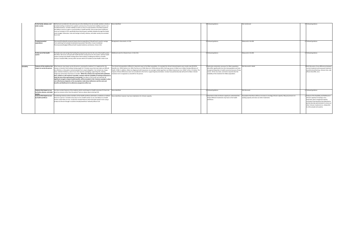|             | To the family, whanau, and<br>wider society                            | Defined and considered in the same way as to the individual. Do not consider whether a family is<br>privately funding a treatment for a patient, and any loss of income from inability to work is not<br>included (however, consider inability to work as a loss of usual activities in the Need quadrant,<br>and ability to work as a gain in usual activities in health benefit). Only certain direct healthcare<br>costs are included in CUA, specifically those that the govt. partially subsidise through the health<br>sector budget. Otherwise, costs and savings to family, whanau, and wider society are excluded<br>from CUA.                                                                                                                                                                                                                                                                                                                                                                    | None identified.                                                                                                                                                                                                                                                                                                                                                                                                                                                                                                                                                                                                                                                                               | Followed guidance.                                                                                                                                                                                                                                                                               | Not mentioned.                                                                                                                                    | 0 Followed guidance.                                                                                                                                                                                                                                                                                     |
|-------------|------------------------------------------------------------------------|------------------------------------------------------------------------------------------------------------------------------------------------------------------------------------------------------------------------------------------------------------------------------------------------------------------------------------------------------------------------------------------------------------------------------------------------------------------------------------------------------------------------------------------------------------------------------------------------------------------------------------------------------------------------------------------------------------------------------------------------------------------------------------------------------------------------------------------------------------------------------------------------------------------------------------------------------------------------------------------------------------|------------------------------------------------------------------------------------------------------------------------------------------------------------------------------------------------------------------------------------------------------------------------------------------------------------------------------------------------------------------------------------------------------------------------------------------------------------------------------------------------------------------------------------------------------------------------------------------------------------------------------------------------------------------------------------------------|--------------------------------------------------------------------------------------------------------------------------------------------------------------------------------------------------------------------------------------------------------------------------------------------------|---------------------------------------------------------------------------------------------------------------------------------------------------|----------------------------------------------------------------------------------------------------------------------------------------------------------------------------------------------------------------------------------------------------------------------------------------------------------|
|             | To pharmaceutical<br>expenditure                                       | How would funding the proposal impact pharma expenditure? Would fund it result in savings<br>from switching from already funded pharmaceuticals? Net effect. Covers Combined<br>Pharmaceutical Budget (CPB) and both hospital medicines and devices. Enters CUA.                                                                                                                                                                                                                                                                                                                                                                                                                                                                                                                                                                                                                                                                                                                                           | Recognised in documents. In CUA.                                                                                                                                                                                                                                                                                                                                                                                                                                                                                                                                                                                                                                                               | 0 Followed guidance.                                                                                                                                                                                                                                                                             | Measured in the BIA.                                                                                                                              | 0 Followed guidance.                                                                                                                                                                                                                                                                                     |
|             | To the rest of the health<br>system                                    | Potential costs and savings that funding the proposal may have for the rest of the health system.<br>Net effect. Not to be confused with health benefit consequences for the system. Defines health<br>system as being Vote Health funding where that funding is enabling the delivery of health<br>services. Includes DHBs, and any other services which are funded via Vote Health. Enters CUA.                                                                                                                                                                                                                                                                                                                                                                                                                                                                                                                                                                                                          | Additional costs for infusion hours. In the CUA.                                                                                                                                                                                                                                                                                                                                                                                                                                                                                                                                                                                                                                               | 0 Followed guidance.                                                                                                                                                                                                                                                                             | Measured in the BIA.                                                                                                                              | 0 Followed guidance.                                                                                                                                                                                                                                                                                     |
| Suitability | impact on use by the person                                            | Features of the medicine that What features may impact use by the person receiving the medicine? Is it registered for the<br>disease or disorder that funding is being sought for? Includes issues that may make use difficult,<br>less effective, or dissuade or prevent people from using it altogether. Can include size, shape,<br>taste, method of delivery, ease of use, time required, packaging, supporting info, training.<br>Subgroups particularly important to consider. While this is likely to be reported with qualitative<br>data, evidence is still required. If possible, compare with the suitability of existing treatments to<br>show the size of the improvement or worsening. Can affect a CUA result, but indirectly. If<br>significant enough to impact health benefits, will be included in CUA. Common example is when<br>cost-effectiveness depends on the assumptions made about adherence and the costs and<br>benefits and likelihood of an adherence programme affect use. | The clinical trial populations differed in important ways to the Mäori population, for example the clinical trial participants were mostly male (59-81%)<br>(Gandhi et al. 2018; Herbst et al. 2016; Paz Ares et al. 2018; Reck et al. 2016) whereas 56% of all lung cancers in Mäori are in Mäori females (Ministry of<br>Health. 2018). In addition, Mäori are diagnosed with lung cancer at a younger median age than non-Mäori (Lawrenson et al. 2018; Te Aho o Te Kahu). The<br>impacts of these differences were not considered in the CUA or supporting documentation. Unclear how pembrolizumab will work for Mäori. Shorter<br>treatment term recognised as a benefit for the person. | Exploration absolutely necessary for Mäori population<br>who differ significantly from the trial population and have<br>recognised disparities in health outcomes because of lung<br>cancer. At the very least, comments required abut the<br>suitability of the treatment for Mãori population. | Not discussed in detail.                                                                                                                          | 1 Brief discussion of any differences betweer<br>current treatment and proposed treatment<br>would be beneficial (e.g. infusion time, side<br>effects that differ, etc.)                                                                                                                                 |
|             | Features that impact on use<br>by family, whanau, and wider<br>society | Are there certain features of the medicine which could impact on health outcomes if it has to be<br>given by someone other than the patient? Same as above about entering CUA.                                                                                                                                                                                                                                                                                                                                                                                                                                                                                                                                                                                                                                                                                                                                                                                                                             | None identified.                                                                                                                                                                                                                                                                                                                                                                                                                                                                                                                                                                                                                                                                               | 0 Followed guidance.                                                                                                                                                                                                                                                                             | Not discussed.                                                                                                                                    | 0 Followed guidance.                                                                                                                                                                                                                                                                                     |
|             | Features that impact on use<br>by health workforce                     | Considering instances where members of the health workforce administer a medicine or medical<br>device to a person. Considers how easy it is for a health worker to use, how likely it is a health<br>worker could make an error. Could even include features which dissuade workers from using a<br>product at all even though it could be clinically beneficial. Indirectly affects CUA.                                                                                                                                                                                                                                                                                                                                                                                                                                                                                                                                                                                                                 | None identified, however may have implications for infusion capacity.                                                                                                                                                                                                                                                                                                                                                                                                                                                                                                                                                                                                                          | Important to look at infusion capacity to understand the<br>impact different treatments may have on the health<br>workforce.                                                                                                                                                                     | Assumption that there will be an increase in oncology infusion capacity. May put pressure on<br>existing capacity and close out other treatments. | Analysis of the feasibility and likelihood of<br>infusion capacity increasing is very<br>important, given recognised capacity<br>constraints and therefore the potential for<br>pembrolizumab administration to close out<br>other infusion treatments (i.e. disbenefits<br>to other people and system). |